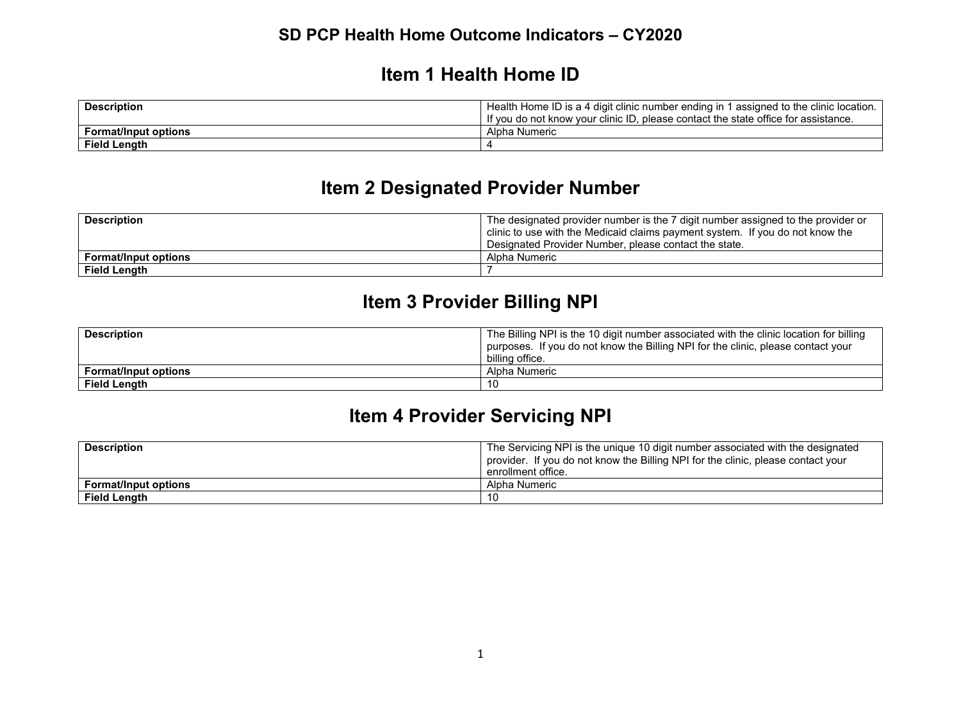#### **Item 1 Health Home ID**

| <b>Description</b>          | Health Home ID is a 4 digit clinic number ending in 1 assigned to the clinic location. |
|-----------------------------|----------------------------------------------------------------------------------------|
|                             | If you do not know your clinic ID, please contact the state office for assistance.     |
| <b>Format/Input options</b> | Alpha Numeric                                                                          |
| <b>Field Length</b>         |                                                                                        |

# **Item 2 Designated Provider Number**

| <b>Description</b>          | The designated provider number is the 7 digit number assigned to the provider or |
|-----------------------------|----------------------------------------------------------------------------------|
|                             | clinic to use with the Medicaid claims payment system. If you do not know the    |
|                             | Designated Provider Number, please contact the state.                            |
| <b>Format/Input options</b> | Alpha Numeric                                                                    |
| Field Length                |                                                                                  |

# **Item 3 Provider Billing NPI**

| <b>Description</b>          | The Billing NPI is the 10 digit number associated with the clinic location for billing<br>purposes. If you do not know the Billing NPI for the clinic, please contact your<br>billing office. |
|-----------------------------|-----------------------------------------------------------------------------------------------------------------------------------------------------------------------------------------------|
| <b>Format/Input options</b> | Alpha Numeric                                                                                                                                                                                 |
| <b>Field Length</b>         | 10                                                                                                                                                                                            |

# **Item 4 Provider Servicing NPI**

| <b>Description</b>          | The Servicing NPI is the unique 10 digit number associated with the designated<br>provider. If you do not know the Billing NPI for the clinic, please contact your<br>enrollment office. |
|-----------------------------|------------------------------------------------------------------------------------------------------------------------------------------------------------------------------------------|
| <b>Format/Input options</b> | Alpha Numeric                                                                                                                                                                            |
| Field Length                | 10                                                                                                                                                                                       |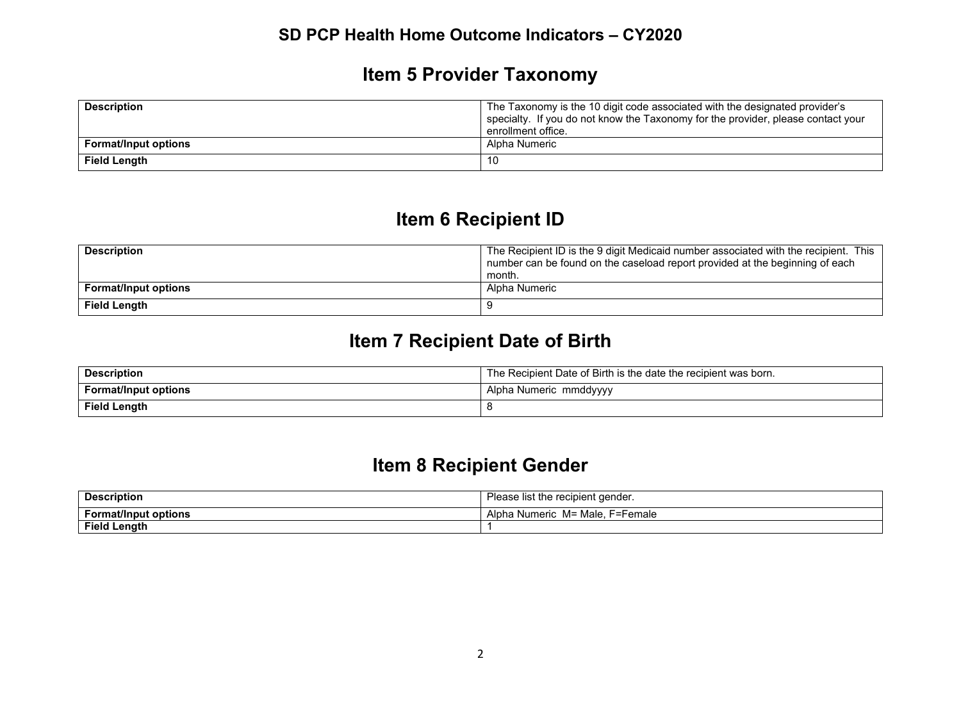# **Item 5 Provider Taxonomy**

| <b>Description</b>          | The Taxonomy is the 10 digit code associated with the designated provider's      |
|-----------------------------|----------------------------------------------------------------------------------|
|                             | specialty. If you do not know the Taxonomy for the provider, please contact your |
|                             | enrollment office.                                                               |
| <b>Format/Input options</b> | Alpha Numeric                                                                    |
| <b>Field Length</b>         | 10                                                                               |

# **Item 6 Recipient ID**

| <b>Description</b>          | The Recipient ID is the 9 digit Medicaid number associated with the recipient. This<br>number can be found on the caseload report provided at the beginning of each |
|-----------------------------|---------------------------------------------------------------------------------------------------------------------------------------------------------------------|
|                             | month.                                                                                                                                                              |
| <b>Format/Input options</b> | Alpha Numeric                                                                                                                                                       |
| <b>Field Length</b>         |                                                                                                                                                                     |

# **Item 7 Recipient Date of Birth**

| <b>Description</b>          | The Recipient Date of Birth is the date the recipient was born. |
|-----------------------------|-----------------------------------------------------------------|
| <b>Format/Input options</b> | Alpha Numeric mmddyyyy                                          |
| Field Length                |                                                                 |

# **Item 8 Recipient Gender**

| <b>Description</b>          | Please list the recipient gender.     |
|-----------------------------|---------------------------------------|
| <b>Format/Input options</b> | F=Female<br>M= Male.<br>Alpha Numeric |
| <b>Field Length</b>         |                                       |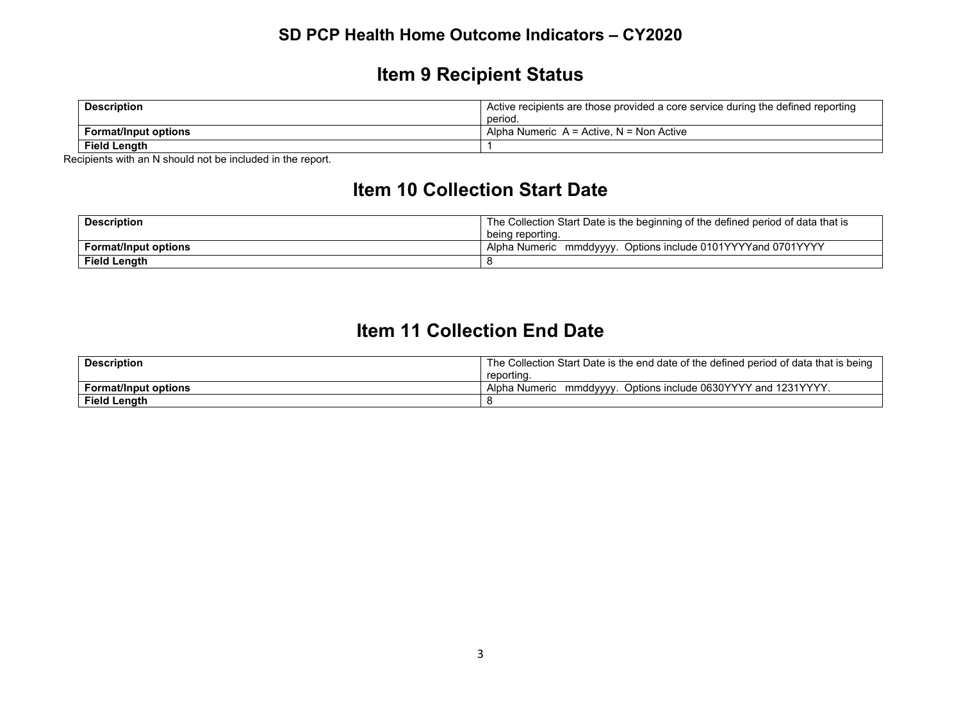# **Item 9 Recipient Status**

| <b>Description</b>          | Active recipients are those provided a core service during the defined reporting |
|-----------------------------|----------------------------------------------------------------------------------|
|                             | period.                                                                          |
| <b>Format/Input options</b> | Alpha Numeric $A =$ Active. N = Non Active                                       |
| <b>Field Length</b>         |                                                                                  |

Recipients with an N should not be included in the report.

# **Item 10 Collection Start Date**

| <b>Description</b>          | The Collection Start Date is the beginning of the defined period of data that is |
|-----------------------------|----------------------------------------------------------------------------------|
|                             | being reporting.                                                                 |
| <b>Format/Input options</b> | ' Alpha Numeric mmddyyyy. Options include 0101YYYYand 0701YYYY                   |
| <b>Field Length</b>         |                                                                                  |

### **Item 11 Collection End Date**

| <b>Description</b>          | The Collection Start Date is the end date of the defined period of data that is being |
|-----------------------------|---------------------------------------------------------------------------------------|
|                             | reporting.                                                                            |
| <b>Format/Input options</b> | Options include 0630YYYY and 1231YYYY<br>Alpha Numeric<br>mmddvvvv.                   |
| <b>Field Length</b>         |                                                                                       |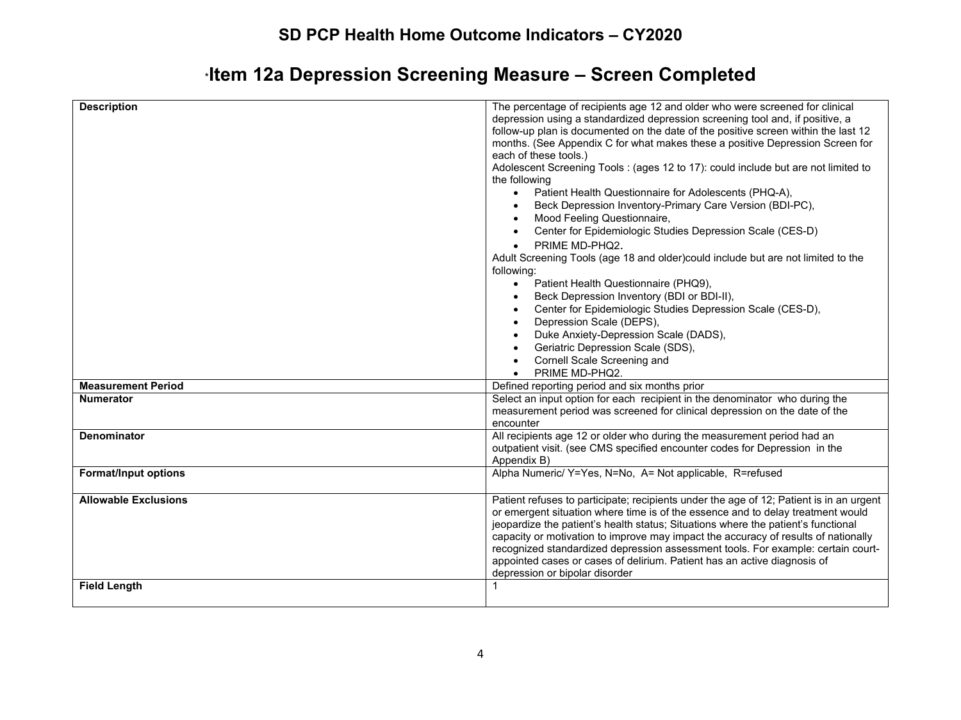# \***Item 12a Depression Screening Measure – Screen Completed**

| <b>Description</b>          | The percentage of recipients age 12 and older who were screened for clinical<br>depression using a standardized depression screening tool and, if positive, a<br>follow-up plan is documented on the date of the positive screen within the last 12<br>months. (See Appendix C for what makes these a positive Depression Screen for<br>each of these tools.)<br>Adolescent Screening Tools: (ages 12 to 17): could include but are not limited to<br>the following<br>Patient Health Questionnaire for Adolescents (PHQ-A),<br>$\bullet$<br>Beck Depression Inventory-Primary Care Version (BDI-PC),<br>$\bullet$<br>Mood Feeling Questionnaire,<br>Center for Epidemiologic Studies Depression Scale (CES-D)<br>PRIME MD-PHQ2.<br>$\bullet$<br>Adult Screening Tools (age 18 and older)could include but are not limited to the<br>following:<br>Patient Health Questionnaire (PHQ9),<br>$\bullet$<br>Beck Depression Inventory (BDI or BDI-II),<br>$\bullet$<br>Center for Epidemiologic Studies Depression Scale (CES-D),<br>$\bullet$<br>Depression Scale (DEPS),<br>$\bullet$<br>Duke Anxiety-Depression Scale (DADS),<br>$\bullet$ |
|-----------------------------|-------------------------------------------------------------------------------------------------------------------------------------------------------------------------------------------------------------------------------------------------------------------------------------------------------------------------------------------------------------------------------------------------------------------------------------------------------------------------------------------------------------------------------------------------------------------------------------------------------------------------------------------------------------------------------------------------------------------------------------------------------------------------------------------------------------------------------------------------------------------------------------------------------------------------------------------------------------------------------------------------------------------------------------------------------------------------------------------------------------------------------------------|
|                             | Geriatric Depression Scale (SDS),<br>$\bullet$                                                                                                                                                                                                                                                                                                                                                                                                                                                                                                                                                                                                                                                                                                                                                                                                                                                                                                                                                                                                                                                                                            |
|                             | Cornell Scale Screening and<br>$\bullet$<br>PRIME MD-PHQ2.<br>$\bullet$                                                                                                                                                                                                                                                                                                                                                                                                                                                                                                                                                                                                                                                                                                                                                                                                                                                                                                                                                                                                                                                                   |
| <b>Measurement Period</b>   | Defined reporting period and six months prior                                                                                                                                                                                                                                                                                                                                                                                                                                                                                                                                                                                                                                                                                                                                                                                                                                                                                                                                                                                                                                                                                             |
| <b>Numerator</b>            | Select an input option for each recipient in the denominator who during the                                                                                                                                                                                                                                                                                                                                                                                                                                                                                                                                                                                                                                                                                                                                                                                                                                                                                                                                                                                                                                                               |
|                             | measurement period was screened for clinical depression on the date of the                                                                                                                                                                                                                                                                                                                                                                                                                                                                                                                                                                                                                                                                                                                                                                                                                                                                                                                                                                                                                                                                |
|                             | encounter                                                                                                                                                                                                                                                                                                                                                                                                                                                                                                                                                                                                                                                                                                                                                                                                                                                                                                                                                                                                                                                                                                                                 |
| <b>Denominator</b>          | All recipients age 12 or older who during the measurement period had an                                                                                                                                                                                                                                                                                                                                                                                                                                                                                                                                                                                                                                                                                                                                                                                                                                                                                                                                                                                                                                                                   |
|                             | outpatient visit. (see CMS specified encounter codes for Depression in the                                                                                                                                                                                                                                                                                                                                                                                                                                                                                                                                                                                                                                                                                                                                                                                                                                                                                                                                                                                                                                                                |
|                             | Appendix B)                                                                                                                                                                                                                                                                                                                                                                                                                                                                                                                                                                                                                                                                                                                                                                                                                                                                                                                                                                                                                                                                                                                               |
| <b>Format/Input options</b> | Alpha Numeric/ Y=Yes, N=No, A= Not applicable, R=refused                                                                                                                                                                                                                                                                                                                                                                                                                                                                                                                                                                                                                                                                                                                                                                                                                                                                                                                                                                                                                                                                                  |
| <b>Allowable Exclusions</b> | Patient refuses to participate; recipients under the age of 12; Patient is in an urgent<br>or emergent situation where time is of the essence and to delay treatment would<br>jeopardize the patient's health status; Situations where the patient's functional<br>capacity or motivation to improve may impact the accuracy of results of nationally<br>recognized standardized depression assessment tools. For example: certain court-<br>appointed cases or cases of delirium. Patient has an active diagnosis of<br>depression or bipolar disorder                                                                                                                                                                                                                                                                                                                                                                                                                                                                                                                                                                                   |
| <b>Field Length</b>         |                                                                                                                                                                                                                                                                                                                                                                                                                                                                                                                                                                                                                                                                                                                                                                                                                                                                                                                                                                                                                                                                                                                                           |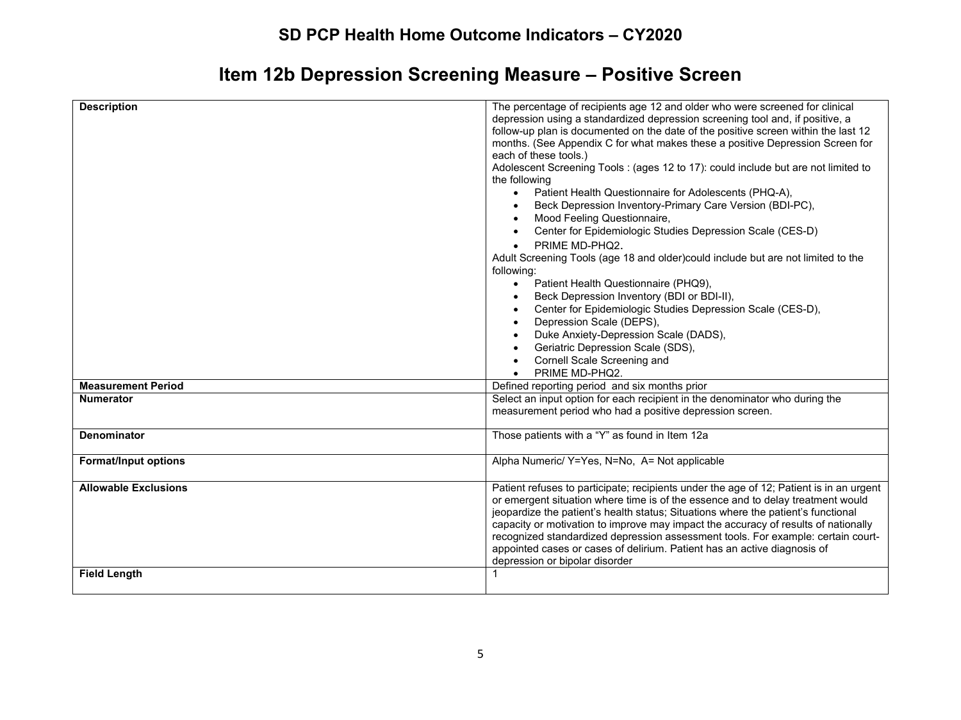# **Item 12b Depression Screening Measure – Positive Screen**

| <b>Description</b>                                 | The percentage of recipients age 12 and older who were screened for clinical<br>depression using a standardized depression screening tool and, if positive, a<br>follow-up plan is documented on the date of the positive screen within the last 12<br>months. (See Appendix C for what makes these a positive Depression Screen for<br>each of these tools.)<br>Adolescent Screening Tools: (ages 12 to 17): could include but are not limited to<br>the following<br>Patient Health Questionnaire for Adolescents (PHQ-A),<br>$\bullet$<br>Beck Depression Inventory-Primary Care Version (BDI-PC),<br>Mood Feeling Questionnaire,<br>$\bullet$<br>Center for Epidemiologic Studies Depression Scale (CES-D)<br>$\bullet$<br>PRIME MD-PHQ2.<br>$\bullet$<br>Adult Screening Tools (age 18 and older)could include but are not limited to the<br>following:<br>Patient Health Questionnaire (PHQ9),<br>$\bullet$<br>Beck Depression Inventory (BDI or BDI-II),<br>$\bullet$<br>Center for Epidemiologic Studies Depression Scale (CES-D),<br>$\bullet$<br>Depression Scale (DEPS),<br>$\bullet$<br>Duke Anxiety-Depression Scale (DADS),<br>Geriatric Depression Scale (SDS),<br>Cornell Scale Screening and<br>PRIME MD-PHQ2.<br>$\bullet$ |
|----------------------------------------------------|----------------------------------------------------------------------------------------------------------------------------------------------------------------------------------------------------------------------------------------------------------------------------------------------------------------------------------------------------------------------------------------------------------------------------------------------------------------------------------------------------------------------------------------------------------------------------------------------------------------------------------------------------------------------------------------------------------------------------------------------------------------------------------------------------------------------------------------------------------------------------------------------------------------------------------------------------------------------------------------------------------------------------------------------------------------------------------------------------------------------------------------------------------------------------------------------------------------------------------------------|
| <b>Measurement Period</b>                          | Defined reporting period and six months prior                                                                                                                                                                                                                                                                                                                                                                                                                                                                                                                                                                                                                                                                                                                                                                                                                                                                                                                                                                                                                                                                                                                                                                                                |
|                                                    |                                                                                                                                                                                                                                                                                                                                                                                                                                                                                                                                                                                                                                                                                                                                                                                                                                                                                                                                                                                                                                                                                                                                                                                                                                              |
| <b>Numerator</b>                                   | Select an input option for each recipient in the denominator who during the<br>measurement period who had a positive depression screen.                                                                                                                                                                                                                                                                                                                                                                                                                                                                                                                                                                                                                                                                                                                                                                                                                                                                                                                                                                                                                                                                                                      |
| <b>Denominator</b>                                 | Those patients with a "Y" as found in Item 12a                                                                                                                                                                                                                                                                                                                                                                                                                                                                                                                                                                                                                                                                                                                                                                                                                                                                                                                                                                                                                                                                                                                                                                                               |
| <b>Format/Input options</b>                        | Alpha Numeric/ Y=Yes, N=No, A= Not applicable                                                                                                                                                                                                                                                                                                                                                                                                                                                                                                                                                                                                                                                                                                                                                                                                                                                                                                                                                                                                                                                                                                                                                                                                |
| <b>Allowable Exclusions</b><br><b>Field Length</b> | Patient refuses to participate; recipients under the age of 12; Patient is in an urgent<br>or emergent situation where time is of the essence and to delay treatment would<br>jeopardize the patient's health status; Situations where the patient's functional<br>capacity or motivation to improve may impact the accuracy of results of nationally<br>recognized standardized depression assessment tools. For example: certain court-<br>appointed cases or cases of delirium. Patient has an active diagnosis of<br>depression or bipolar disorder                                                                                                                                                                                                                                                                                                                                                                                                                                                                                                                                                                                                                                                                                      |
|                                                    |                                                                                                                                                                                                                                                                                                                                                                                                                                                                                                                                                                                                                                                                                                                                                                                                                                                                                                                                                                                                                                                                                                                                                                                                                                              |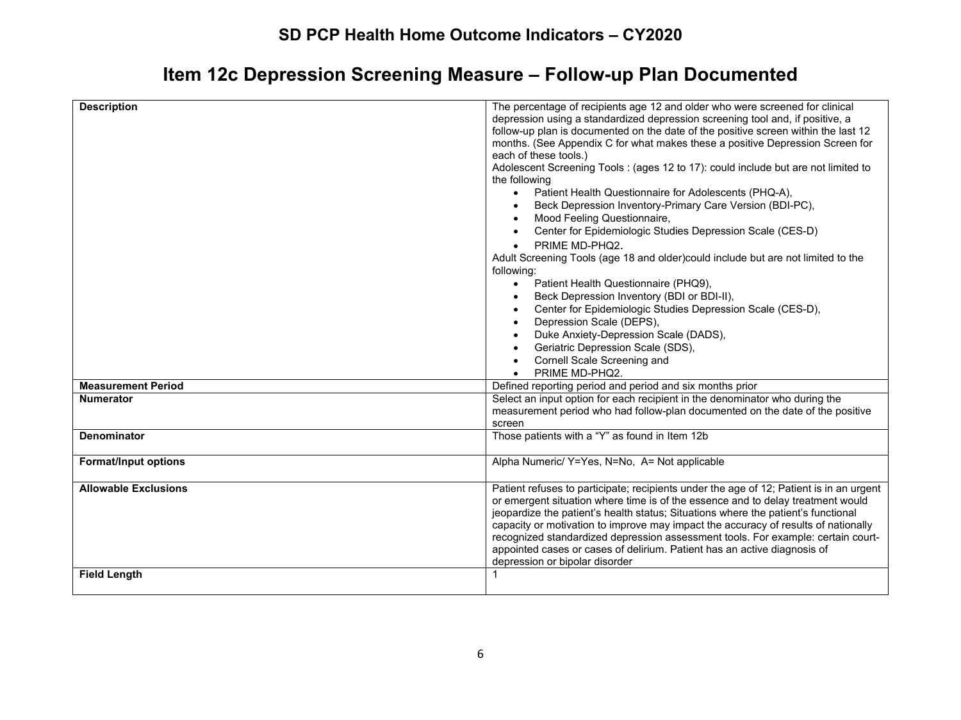# **Item 12c Depression Screening Measure – Follow-up Plan Documented**

| <b>Description</b>                                 | The percentage of recipients age 12 and older who were screened for clinical<br>depression using a standardized depression screening tool and, if positive, a<br>follow-up plan is documented on the date of the positive screen within the last 12<br>months. (See Appendix C for what makes these a positive Depression Screen for<br>each of these tools.)<br>Adolescent Screening Tools: (ages 12 to 17): could include but are not limited to<br>the following<br>Patient Health Questionnaire for Adolescents (PHQ-A),<br>$\bullet$<br>Beck Depression Inventory-Primary Care Version (BDI-PC),<br>Mood Feeling Questionnaire,<br>$\bullet$<br>Center for Epidemiologic Studies Depression Scale (CES-D)<br>PRIME MD-PHQ2.<br>$\bullet$<br>Adult Screening Tools (age 18 and older)could include but are not limited to the<br>following:<br>Patient Health Questionnaire (PHQ9),<br>$\bullet$<br>Beck Depression Inventory (BDI or BDI-II),<br>$\bullet$<br>Center for Epidemiologic Studies Depression Scale (CES-D),<br>$\bullet$<br>Depression Scale (DEPS),<br>$\bullet$<br>Duke Anxiety-Depression Scale (DADS),<br>Geriatric Depression Scale (SDS),<br>Cornell Scale Screening and<br>PRIME MD-PHQ2.<br>$\bullet$ |
|----------------------------------------------------|---------------------------------------------------------------------------------------------------------------------------------------------------------------------------------------------------------------------------------------------------------------------------------------------------------------------------------------------------------------------------------------------------------------------------------------------------------------------------------------------------------------------------------------------------------------------------------------------------------------------------------------------------------------------------------------------------------------------------------------------------------------------------------------------------------------------------------------------------------------------------------------------------------------------------------------------------------------------------------------------------------------------------------------------------------------------------------------------------------------------------------------------------------------------------------------------------------------------------------|
| <b>Measurement Period</b>                          | Defined reporting period and period and six months prior                                                                                                                                                                                                                                                                                                                                                                                                                                                                                                                                                                                                                                                                                                                                                                                                                                                                                                                                                                                                                                                                                                                                                                        |
| <b>Numerator</b>                                   | Select an input option for each recipient in the denominator who during the                                                                                                                                                                                                                                                                                                                                                                                                                                                                                                                                                                                                                                                                                                                                                                                                                                                                                                                                                                                                                                                                                                                                                     |
|                                                    | measurement period who had follow-plan documented on the date of the positive<br>screen                                                                                                                                                                                                                                                                                                                                                                                                                                                                                                                                                                                                                                                                                                                                                                                                                                                                                                                                                                                                                                                                                                                                         |
| <b>Denominator</b>                                 | Those patients with a "Y" as found in Item 12b                                                                                                                                                                                                                                                                                                                                                                                                                                                                                                                                                                                                                                                                                                                                                                                                                                                                                                                                                                                                                                                                                                                                                                                  |
| <b>Format/Input options</b>                        | Alpha Numeric/ Y=Yes, N=No, A= Not applicable                                                                                                                                                                                                                                                                                                                                                                                                                                                                                                                                                                                                                                                                                                                                                                                                                                                                                                                                                                                                                                                                                                                                                                                   |
| <b>Allowable Exclusions</b><br><b>Field Length</b> | Patient refuses to participate; recipients under the age of 12; Patient is in an urgent<br>or emergent situation where time is of the essence and to delay treatment would<br>jeopardize the patient's health status; Situations where the patient's functional<br>capacity or motivation to improve may impact the accuracy of results of nationally<br>recognized standardized depression assessment tools. For example: certain court-<br>appointed cases or cases of delirium. Patient has an active diagnosis of<br>depression or bipolar disorder                                                                                                                                                                                                                                                                                                                                                                                                                                                                                                                                                                                                                                                                         |
|                                                    |                                                                                                                                                                                                                                                                                                                                                                                                                                                                                                                                                                                                                                                                                                                                                                                                                                                                                                                                                                                                                                                                                                                                                                                                                                 |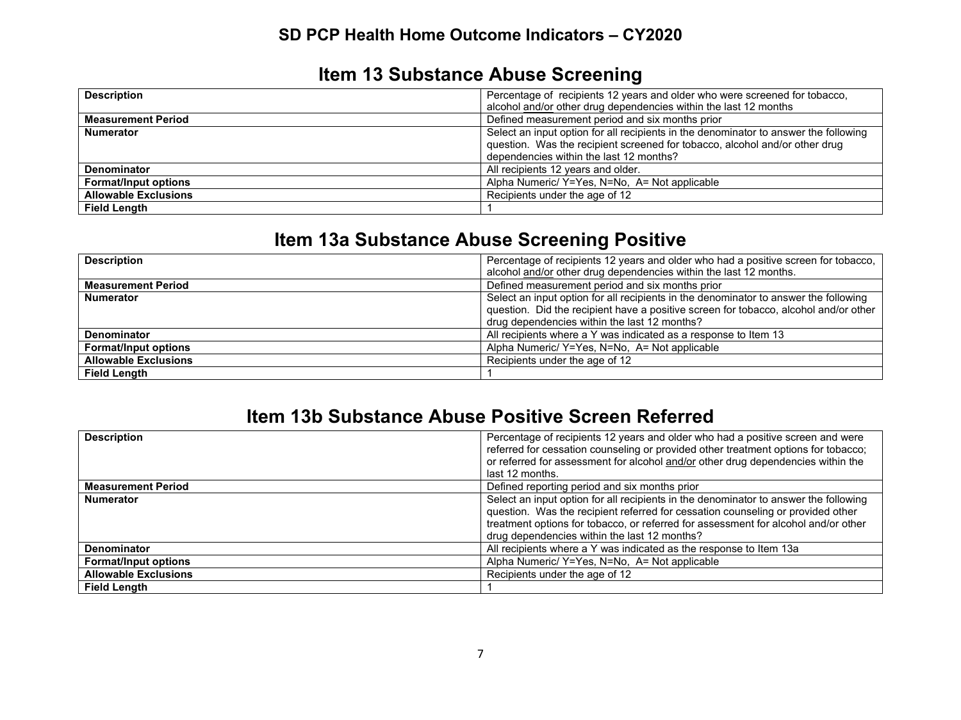# **Item 13 Substance Abuse Screening**

| <b>Description</b>          | Percentage of recipients 12 years and older who were screened for tobacco,           |
|-----------------------------|--------------------------------------------------------------------------------------|
|                             | alcohol and/or other drug dependencies within the last 12 months                     |
| <b>Measurement Period</b>   | Defined measurement period and six months prior                                      |
| <b>Numerator</b>            | Select an input option for all recipients in the denominator to answer the following |
|                             | question. Was the recipient screened for tobacco, alcohol and/or other drug          |
|                             | dependencies within the last 12 months?                                              |
| Denominator                 | All recipients 12 years and older.                                                   |
| <b>Format/Input options</b> | Alpha Numeric/ Y=Yes, N=No, A= Not applicable                                        |
| <b>Allowable Exclusions</b> | Recipients under the age of 12                                                       |
| <b>Field Length</b>         |                                                                                      |

# **Item 13a Substance Abuse Screening Positive**

| <b>Description</b>          | Percentage of recipients 12 years and older who had a positive screen for tobacco,   |
|-----------------------------|--------------------------------------------------------------------------------------|
|                             | alcohol and/or other drug dependencies within the last 12 months.                    |
| <b>Measurement Period</b>   | Defined measurement period and six months prior                                      |
| <b>Numerator</b>            | Select an input option for all recipients in the denominator to answer the following |
|                             | question. Did the recipient have a positive screen for tobacco, alcohol and/or other |
|                             | drug dependencies within the last 12 months?                                         |
| <b>Denominator</b>          | All recipients where a Y was indicated as a response to Item 13                      |
| <b>Format/Input options</b> | Alpha Numeric/ Y=Yes, N=No, A= Not applicable                                        |
| <b>Allowable Exclusions</b> | Recipients under the age of 12                                                       |
| <b>Field Length</b>         |                                                                                      |

#### **Item 13b Substance Abuse Positive Screen Referred**

| <b>Description</b>          | Percentage of recipients 12 years and older who had a positive screen and were       |
|-----------------------------|--------------------------------------------------------------------------------------|
|                             | referred for cessation counseling or provided other treatment options for tobacco;   |
|                             | or referred for assessment for alcohol and/or other drug dependencies within the     |
|                             | last 12 months.                                                                      |
| <b>Measurement Period</b>   | Defined reporting period and six months prior                                        |
| <b>Numerator</b>            | Select an input option for all recipients in the denominator to answer the following |
|                             | question. Was the recipient referred for cessation counseling or provided other      |
|                             | treatment options for tobacco, or referred for assessment for alcohol and/or other   |
|                             | drug dependencies within the last 12 months?                                         |
| <b>Denominator</b>          | All recipients where a Y was indicated as the response to Item 13a                   |
| <b>Format/Input options</b> | Alpha Numeric/ Y=Yes, N=No, A= Not applicable                                        |
| <b>Allowable Exclusions</b> | Recipients under the age of 12                                                       |
| <b>Field Length</b>         |                                                                                      |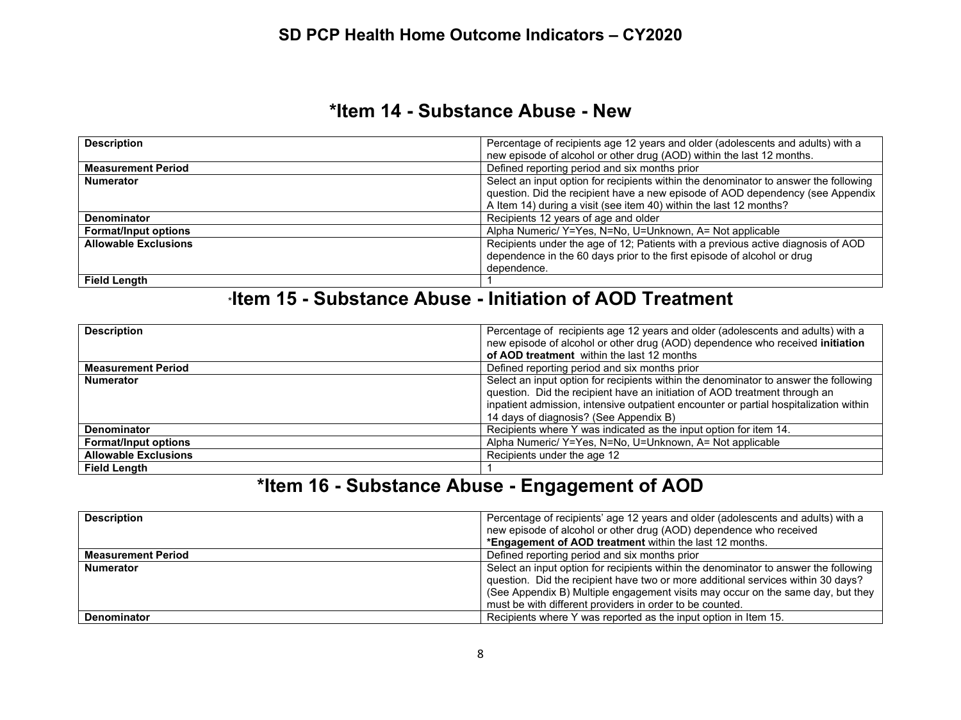### **\*Item 14 - Substance Abuse - New**

| <b>Description</b>          | Percentage of recipients age 12 years and older (adolescents and adults) with a      |
|-----------------------------|--------------------------------------------------------------------------------------|
|                             | new episode of alcohol or other drug (AOD) within the last 12 months.                |
| <b>Measurement Period</b>   | Defined reporting period and six months prior                                        |
| <b>Numerator</b>            | Select an input option for recipients within the denominator to answer the following |
|                             | question. Did the recipient have a new episode of AOD dependency (see Appendix       |
|                             | A Item 14) during a visit (see item 40) within the last 12 months?                   |
| <b>Denominator</b>          | Recipients 12 years of age and older                                                 |
| <b>Format/Input options</b> | Alpha Numeric/ Y=Yes, N=No, U=Unknown, A= Not applicable                             |
| <b>Allowable Exclusions</b> | Recipients under the age of 12; Patients with a previous active diagnosis of AOD     |
|                             | dependence in the 60 days prior to the first episode of alcohol or drug              |
|                             | dependence.                                                                          |
| <b>Field Length</b>         |                                                                                      |

## \***Item 15 - Substance Abuse - Initiation of AOD Treatment**

| <b>Description</b>          | Percentage of recipients age 12 years and older (adolescents and adults) with a       |
|-----------------------------|---------------------------------------------------------------------------------------|
|                             | new episode of alcohol or other drug (AOD) dependence who received initiation         |
|                             | of AOD treatment within the last 12 months                                            |
| <b>Measurement Period</b>   | Defined reporting period and six months prior                                         |
| <b>Numerator</b>            | Select an input option for recipients within the denominator to answer the following  |
|                             | question. Did the recipient have an initiation of AOD treatment through an            |
|                             | inpatient admission, intensive outpatient encounter or partial hospitalization within |
|                             | 14 days of diagnosis? (See Appendix B)                                                |
| <b>Denominator</b>          | Recipients where Y was indicated as the input option for item 14.                     |
| <b>Format/Input options</b> | Alpha Numeric/ Y=Yes, N=No, U=Unknown, A= Not applicable                              |
| <b>Allowable Exclusions</b> | Recipients under the age 12                                                           |
| <b>Field Length</b>         |                                                                                       |

# **\*Item 16 - Substance Abuse - Engagement of AOD**

| <b>Description</b>        | Percentage of recipients' age 12 years and older (adolescents and adults) with a     |
|---------------------------|--------------------------------------------------------------------------------------|
|                           | new episode of alcohol or other drug (AOD) dependence who received                   |
|                           | *Engagement of AOD treatment within the last 12 months.                              |
| <b>Measurement Period</b> | Defined reporting period and six months prior                                        |
| <b>Numerator</b>          | Select an input option for recipients within the denominator to answer the following |
|                           | question. Did the recipient have two or more additional services within 30 days?     |
|                           | (See Appendix B) Multiple engagement visits may occur on the same day, but they      |
|                           | must be with different providers in order to be counted.                             |
| <b>Denominator</b>        | Recipients where Y was reported as the input option in Item 15.                      |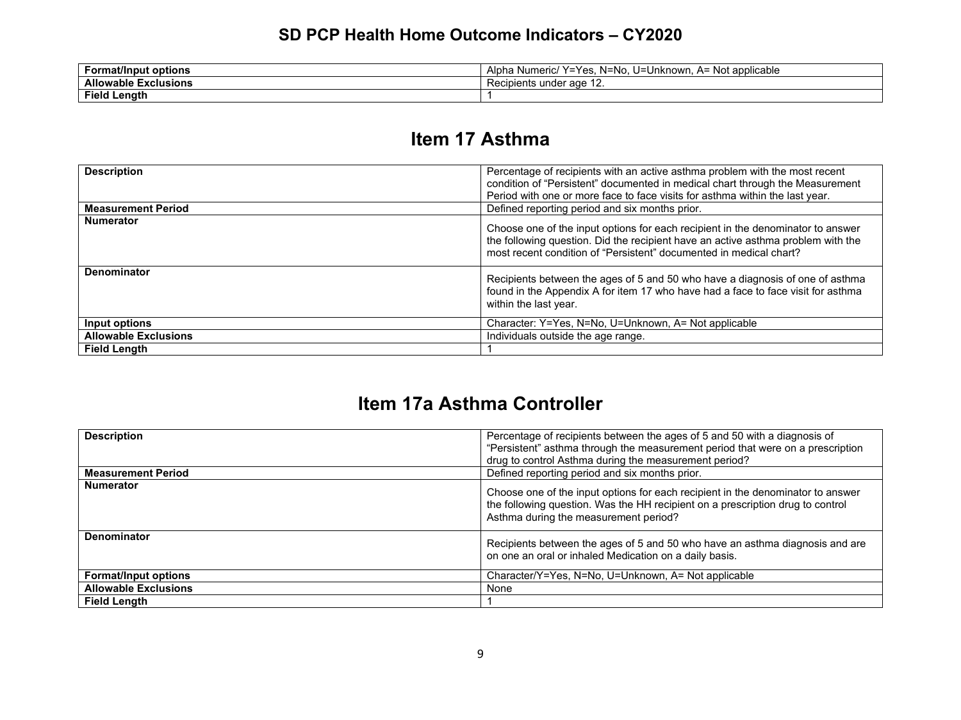| <b>Format/Input options</b>             | ⊸u=N∽<br>`!umeric/<br>A= Not applicable<br>. v –<br>\/ _ _<br>Unknown<br>$\overline{\phantom{a}}$<br>- Alphr<br>-<br>$\overline{\phantom{0}}$<br>⊶.<br>ч іа<br>ivu<br>-<br>טיי |
|-----------------------------------------|--------------------------------------------------------------------------------------------------------------------------------------------------------------------------------|
| <b>Allowable F</b><br><b>Exclusions</b> | Recipients under age<br>$\overline{\phantom{a}}$                                                                                                                               |
| Field<br>Lenath                         |                                                                                                                                                                                |

### **Item 17 Asthma**

| <b>Description</b>          | Percentage of recipients with an active asthma problem with the most recent<br>condition of "Persistent" documented in medical chart through the Measurement<br>Period with one or more face to face visits for asthma within the last year. |
|-----------------------------|----------------------------------------------------------------------------------------------------------------------------------------------------------------------------------------------------------------------------------------------|
| <b>Measurement Period</b>   | Defined reporting period and six months prior.                                                                                                                                                                                               |
| <b>Numerator</b>            | Choose one of the input options for each recipient in the denominator to answer<br>the following question. Did the recipient have an active asthma problem with the<br>most recent condition of "Persistent" documented in medical chart?    |
| Denominator                 | Recipients between the ages of 5 and 50 who have a diagnosis of one of asthma<br>found in the Appendix A for item 17 who have had a face to face visit for asthma<br>within the last year.                                                   |
| Input options               | Character: Y=Yes, N=No, U=Unknown, A= Not applicable                                                                                                                                                                                         |
| <b>Allowable Exclusions</b> | Individuals outside the age range.                                                                                                                                                                                                           |
| <b>Field Lenath</b>         |                                                                                                                                                                                                                                              |

# **Item 17a Asthma Controller**

| <b>Description</b>          | Percentage of recipients between the ages of 5 and 50 with a diagnosis of<br>"Persistent" asthma through the measurement period that were on a prescription<br>drug to control Asthma during the measurement period? |
|-----------------------------|----------------------------------------------------------------------------------------------------------------------------------------------------------------------------------------------------------------------|
| <b>Measurement Period</b>   | Defined reporting period and six months prior.                                                                                                                                                                       |
| <b>Numerator</b>            | Choose one of the input options for each recipient in the denominator to answer<br>the following question. Was the HH recipient on a prescription drug to control<br>Asthma during the measurement period?           |
| Denominator                 | Recipients between the ages of 5 and 50 who have an asthma diagnosis and are<br>on one an oral or inhaled Medication on a daily basis.                                                                               |
| <b>Format/Input options</b> | Character/Y=Yes, N=No, U=Unknown, A= Not applicable                                                                                                                                                                  |
| <b>Allowable Exclusions</b> | None                                                                                                                                                                                                                 |
| <b>Field Length</b>         |                                                                                                                                                                                                                      |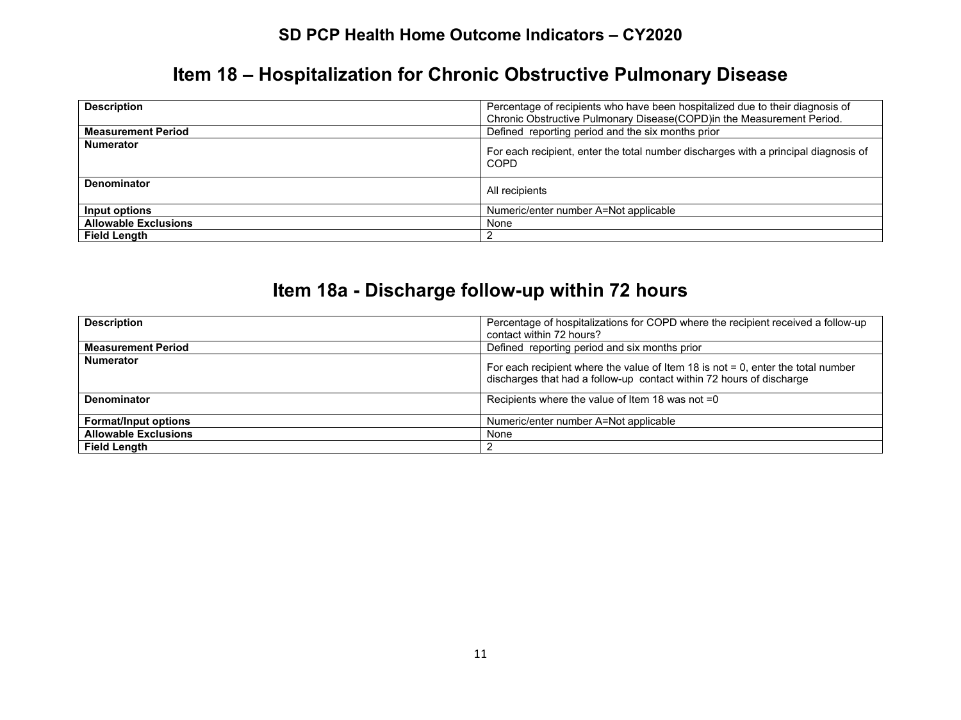# **Item 18 – Hospitalization for Chronic Obstructive Pulmonary Disease**

| <b>Description</b>          | Percentage of recipients who have been hospitalized due to their diagnosis of<br>Chronic Obstructive Pulmonary Disease (COPD) in the Measurement Period. |
|-----------------------------|----------------------------------------------------------------------------------------------------------------------------------------------------------|
| <b>Measurement Period</b>   | Defined reporting period and the six months prior                                                                                                        |
| <b>Numerator</b>            | For each recipient, enter the total number discharges with a principal diagnosis of<br>COPD                                                              |
| <b>Denominator</b>          | All recipients                                                                                                                                           |
| Input options               | Numeric/enter number A=Not applicable                                                                                                                    |
| <b>Allowable Exclusions</b> | None                                                                                                                                                     |
| <b>Field Length</b>         |                                                                                                                                                          |

# **Item 18a - Discharge follow-up within 72 hours**

| <b>Description</b>          | Percentage of hospitalizations for COPD where the recipient received a follow-up<br>contact within 72 hours?                                                |
|-----------------------------|-------------------------------------------------------------------------------------------------------------------------------------------------------------|
| <b>Measurement Period</b>   | Defined reporting period and six months prior                                                                                                               |
| <b>Numerator</b>            | For each recipient where the value of Item 18 is not $= 0$ , enter the total number<br>discharges that had a follow-up contact within 72 hours of discharge |
| <b>Denominator</b>          | Recipients where the value of Item 18 was not =0                                                                                                            |
| <b>Format/Input options</b> | Numeric/enter number A=Not applicable                                                                                                                       |
| <b>Allowable Exclusions</b> | None                                                                                                                                                        |
| <b>Field Length</b>         |                                                                                                                                                             |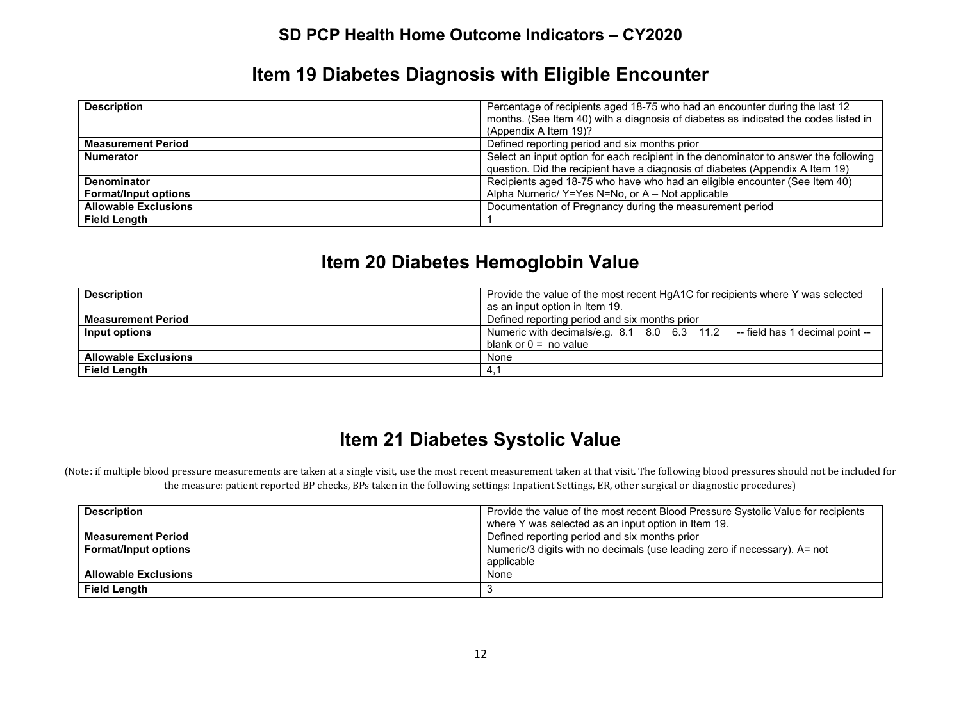### **Item 19 Diabetes Diagnosis with Eligible Encounter**

| <b>Description</b>          | Percentage of recipients aged 18-75 who had an encounter during the last 12<br>months. (See Item 40) with a diagnosis of diabetes as indicated the codes listed in<br>(Appendix A Item 19)? |
|-----------------------------|---------------------------------------------------------------------------------------------------------------------------------------------------------------------------------------------|
| <b>Measurement Period</b>   | Defined reporting period and six months prior                                                                                                                                               |
| <b>Numerator</b>            | Select an input option for each recipient in the denominator to answer the following                                                                                                        |
|                             | question. Did the recipient have a diagnosis of diabetes (Appendix A Item 19)                                                                                                               |
| Denominator                 | Recipients aged 18-75 who have who had an eligible encounter (See Item 40)                                                                                                                  |
| <b>Format/Input options</b> | Alpha Numeric/Y=Yes N=No, or A – Not applicable                                                                                                                                             |
| <b>Allowable Exclusions</b> | Documentation of Pregnancy during the measurement period                                                                                                                                    |
| <b>Field Length</b>         |                                                                                                                                                                                             |

### **Item 20 Diabetes Hemoglobin Value**

| <b>Description</b>          | Provide the value of the most recent HgA1C for recipients where Y was selected |
|-----------------------------|--------------------------------------------------------------------------------|
|                             | as an input option in Item 19.                                                 |
| <b>Measurement Period</b>   | Defined reporting period and six months prior                                  |
| Input options               | Numeric with decimals/e.g. 8.1 8.0 6.3 11.2 -- field has 1 decimal point --    |
|                             | blank or $0 = no$ value                                                        |
| <b>Allowable Exclusions</b> | None                                                                           |
| <b>Field Length</b>         | 4.                                                                             |

# **Item 21 Diabetes Systolic Value**

(Note: if multiple blood pressure measurements are taken at a single visit, use the most recent measurement taken at that visit. The following blood pressures should not be included for the measure: patient reported BP checks, BPs taken in the following settings: Inpatient Settings, ER, other surgical or diagnostic procedures)

| <b>Description</b>          | Provide the value of the most recent Blood Pressure Systolic Value for recipients |
|-----------------------------|-----------------------------------------------------------------------------------|
|                             | where Y was selected as an input option in Item 19.                               |
| <b>Measurement Period</b>   | Defined reporting period and six months prior                                     |
| <b>Format/Input options</b> | Numeric/3 digits with no decimals (use leading zero if necessary). A= not         |
|                             | applicable                                                                        |
| <b>Allowable Exclusions</b> | None                                                                              |
| <b>Field Length</b>         |                                                                                   |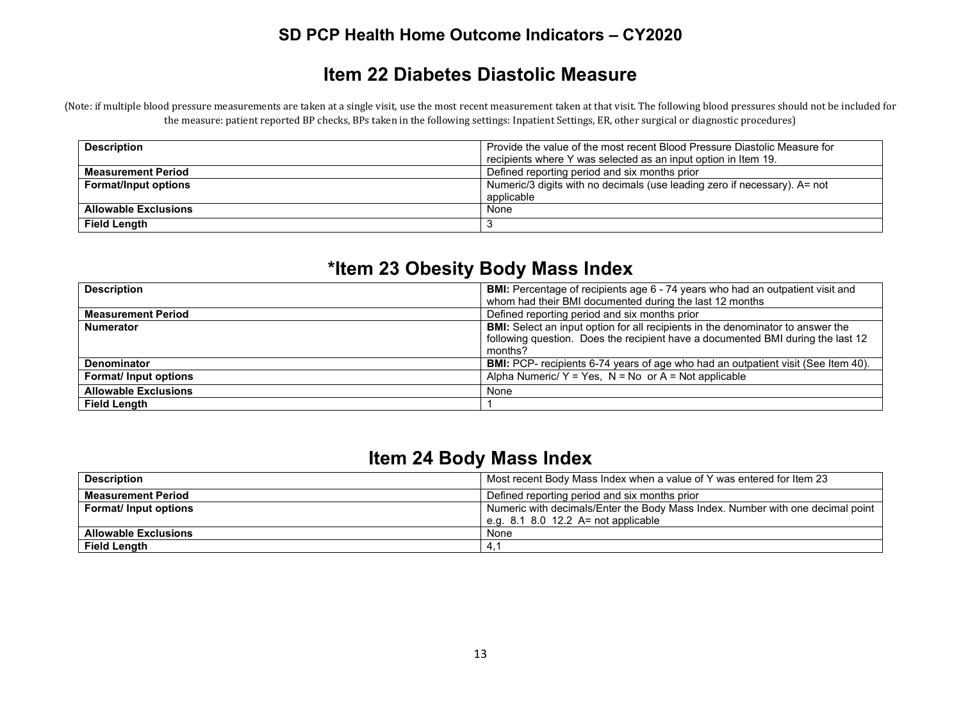### **Item 22 Diabetes Diastolic Measure**

(Note: if multiple blood pressure measurements are taken at a single visit, use the most recent measurement taken at that visit. The following blood pressures should not be included for the measure: patient reported BP checks, BPs taken in the following settings: Inpatient Settings, ER, other surgical or diagnostic procedures)

| <b>Description</b>          | Provide the value of the most recent Blood Pressure Diastolic Measure for<br>recipients where Y was selected as an input option in Item 19. |
|-----------------------------|---------------------------------------------------------------------------------------------------------------------------------------------|
| <b>Measurement Period</b>   | Defined reporting period and six months prior                                                                                               |
| <b>Format/Input options</b> | Numeric/3 digits with no decimals (use leading zero if necessary). A= not                                                                   |
|                             | applicable                                                                                                                                  |
| <b>Allowable Exclusions</b> | None                                                                                                                                        |
| <b>Field Length</b>         |                                                                                                                                             |

## **\*Item 23 Obesity Body Mass Index**

| <b>Description</b>          | <b>BMI:</b> Percentage of recipients age 6 - 74 years who had an outpatient visit and    |
|-----------------------------|------------------------------------------------------------------------------------------|
|                             | whom had their BMI documented during the last 12 months                                  |
| <b>Measurement Period</b>   | Defined reporting period and six months prior                                            |
| <b>Numerator</b>            | <b>BMI:</b> Select an input option for all recipients in the denominator to answer the   |
|                             | following question. Does the recipient have a documented BMI during the last 12          |
|                             | months?                                                                                  |
| <b>Denominator</b>          | <b>BMI:</b> PCP- recipients 6-74 years of age who had an outpatient visit (See Item 40). |
| <b>Format/Input options</b> | Alpha Numeric/ $Y = Yes$ , $N = No$ or $A = Not$ applicable                              |
| <b>Allowable Exclusions</b> | None                                                                                     |
| <b>Field Length</b>         |                                                                                          |

## **Item 24 Body Mass Index**

| <b>Description</b>           | Most recent Body Mass Index when a value of Y was entered for Item 23          |
|------------------------------|--------------------------------------------------------------------------------|
| <b>Measurement Period</b>    | Defined reporting period and six months prior                                  |
| <b>Format/ Input options</b> | Numeric with decimals/Enter the Body Mass Index. Number with one decimal point |
|                              | e.g. $8.1$ 8.0 12.2 A= not applicable                                          |
| <b>Allowable Exclusions</b>  | None                                                                           |
| <b>Field Length</b>          | -4.                                                                            |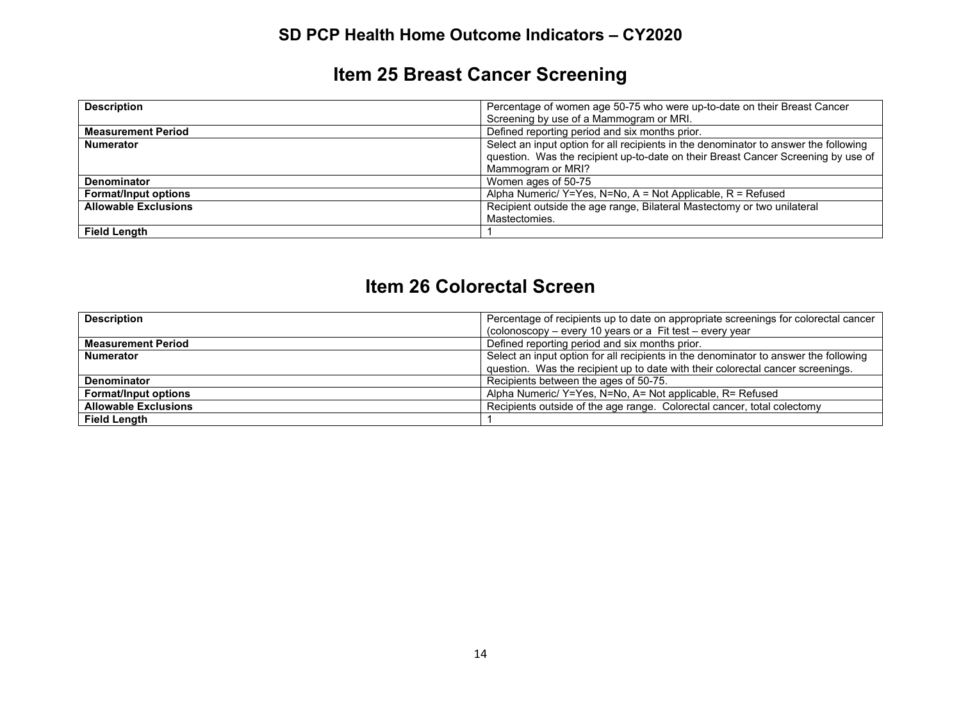# **Item 25 Breast Cancer Screening**

| <b>Description</b>          | Percentage of women age 50-75 who were up-to-date on their Breast Cancer                                                                                                                       |
|-----------------------------|------------------------------------------------------------------------------------------------------------------------------------------------------------------------------------------------|
|                             | Screening by use of a Mammogram or MRI.                                                                                                                                                        |
| <b>Measurement Period</b>   | Defined reporting period and six months prior.                                                                                                                                                 |
| <b>Numerator</b>            | Select an input option for all recipients in the denominator to answer the following<br>question. Was the recipient up-to-date on their Breast Cancer Screening by use of<br>Mammogram or MRI? |
| <b>Denominator</b>          | Women ages of 50-75                                                                                                                                                                            |
| <b>Format/Input options</b> | Alpha Numeric/ $Y = Yes$ , N=No, A = Not Applicable, R = Refused                                                                                                                               |
| <b>Allowable Exclusions</b> | Recipient outside the age range, Bilateral Mastectomy or two unilateral<br>Mastectomies.                                                                                                       |
| <b>Field Length</b>         |                                                                                                                                                                                                |

### **Item 26 Colorectal Screen**

| <b>Description</b>          | Percentage of recipients up to date on appropriate screenings for colorectal cancer  |
|-----------------------------|--------------------------------------------------------------------------------------|
|                             | (colonoscopy – every 10 years or a Fit test – every year                             |
| <b>Measurement Period</b>   | Defined reporting period and six months prior.                                       |
| <b>Numerator</b>            | Select an input option for all recipients in the denominator to answer the following |
|                             | question. Was the recipient up to date with their colorectal cancer screenings.      |
| <b>Denominator</b>          | Recipients between the ages of 50-75.                                                |
| <b>Format/Input options</b> | Alpha Numeric/ Y=Yes, N=No, A= Not applicable, R= Refused                            |
| <b>Allowable Exclusions</b> | Recipients outside of the age range. Colorectal cancer, total colectomy              |
| <b>Field Length</b>         |                                                                                      |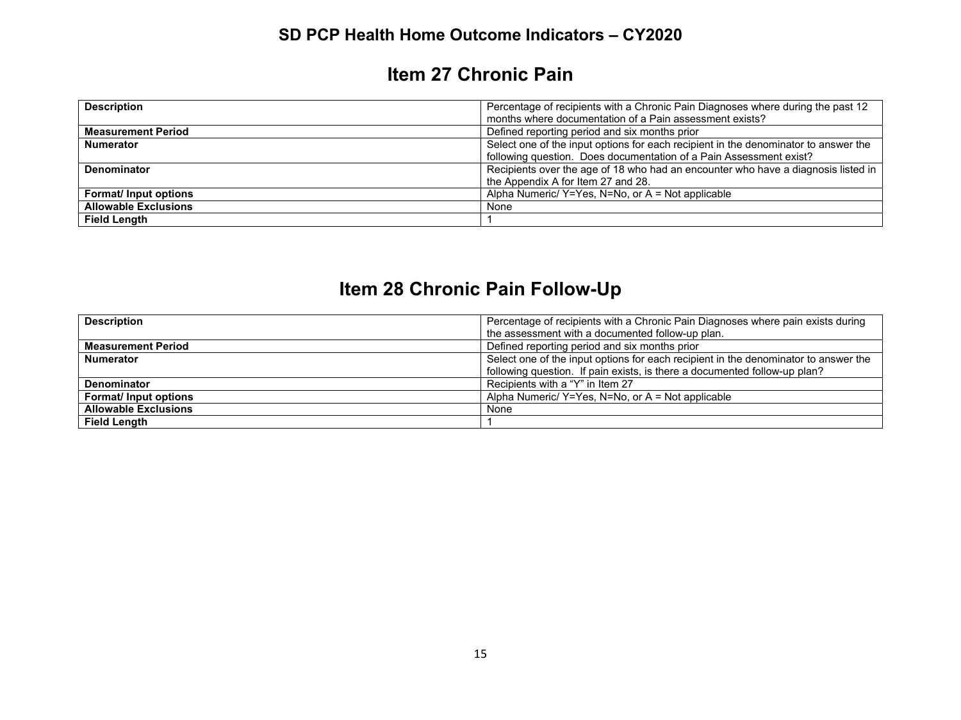# **Item 27 Chronic Pain**

| <b>Description</b>           | Percentage of recipients with a Chronic Pain Diagnoses where during the past 12     |
|------------------------------|-------------------------------------------------------------------------------------|
|                              | months where documentation of a Pain assessment exists?                             |
| <b>Measurement Period</b>    | Defined reporting period and six months prior                                       |
| <b>Numerator</b>             | Select one of the input options for each recipient in the denominator to answer the |
|                              | following question. Does documentation of a Pain Assessment exist?                  |
| <b>Denominator</b>           | Recipients over the age of 18 who had an encounter who have a diagnosis listed in   |
|                              | the Appendix A for Item 27 and 28.                                                  |
| <b>Format/ Input options</b> | Alpha Numeric/ Y=Yes, N=No, or A = Not applicable                                   |
| <b>Allowable Exclusions</b>  | None                                                                                |
| <b>Field Length</b>          |                                                                                     |

# **Item 28 Chronic Pain Follow-Up**

| <b>Description</b>          | Percentage of recipients with a Chronic Pain Diagnoses where pain exists during     |
|-----------------------------|-------------------------------------------------------------------------------------|
|                             | the assessment with a documented follow-up plan.                                    |
| <b>Measurement Period</b>   | Defined reporting period and six months prior                                       |
| <b>Numerator</b>            | Select one of the input options for each recipient in the denominator to answer the |
|                             | following question. If pain exists, is there a documented follow-up plan?           |
| Denominator                 | Recipients with a "Y" in Item 27                                                    |
| <b>Format/Input options</b> | Alpha Numeric/ Y=Yes, N=No, or A = Not applicable                                   |
| <b>Allowable Exclusions</b> | None                                                                                |
| <b>Field Length</b>         |                                                                                     |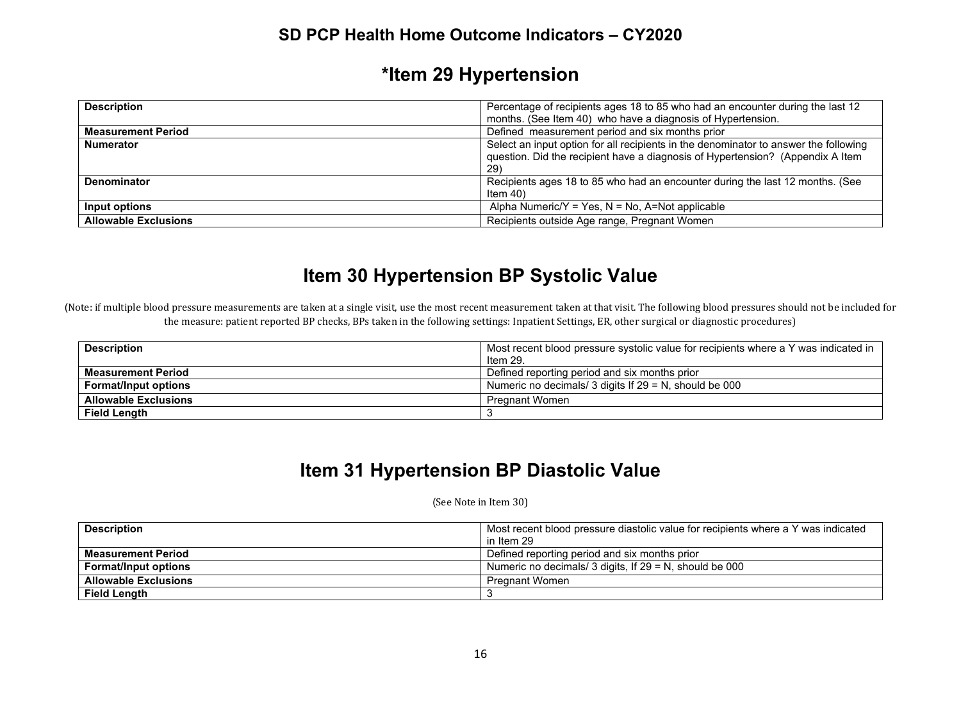# **\*Item 29 Hypertension**

| <b>Description</b>          | Percentage of recipients ages 18 to 85 who had an encounter during the last 12                                                                                                |
|-----------------------------|-------------------------------------------------------------------------------------------------------------------------------------------------------------------------------|
|                             | months. (See Item 40) who have a diagnosis of Hypertension.                                                                                                                   |
| <b>Measurement Period</b>   | Defined measurement period and six months prior                                                                                                                               |
| <b>Numerator</b>            | Select an input option for all recipients in the denominator to answer the following<br>question. Did the recipient have a diagnosis of Hypertension? (Appendix A Item<br>29) |
| <b>Denominator</b>          | Recipients ages 18 to 85 who had an encounter during the last 12 months. (See<br>Item $40$                                                                                    |
| Input options               | Alpha Numeric/Y = Yes, N = No, A=Not applicable                                                                                                                               |
| <b>Allowable Exclusions</b> | Recipients outside Age range, Pregnant Women                                                                                                                                  |

## **Item 30 Hypertension BP Systolic Value**

(Note: if multiple blood pressure measurements are taken at a single visit, use the most recent measurement taken at that visit. The following blood pressures should not be included for the measure: patient reported BP checks, BPs taken in the following settings: Inpatient Settings, ER, other surgical or diagnostic procedures)

| <b>Description</b>          | Most recent blood pressure systolic value for recipients where a Y was indicated in |
|-----------------------------|-------------------------------------------------------------------------------------|
|                             | Item 29.                                                                            |
| <b>Measurement Period</b>   | Defined reporting period and six months prior                                       |
| <b>Format/Input options</b> | Numeric no decimals/ 3 digits If $29 = N$ , should be 000                           |
| <b>Allowable Exclusions</b> | <b>Pregnant Women</b>                                                               |
| <b>Field Length</b>         |                                                                                     |

### **Item 31 Hypertension BP Diastolic Value**

(See Note in Item 30)

| <b>Description</b>          | Most recent blood pressure diastolic value for recipients where a Y was indicated |
|-----------------------------|-----------------------------------------------------------------------------------|
|                             | in Item 29                                                                        |
| <b>Measurement Period</b>   | Defined reporting period and six months prior                                     |
| <b>Format/Input options</b> | Numeric no decimals/ 3 digits, If $29 = N$ , should be 000                        |
| <b>Allowable Exclusions</b> | <b>Pregnant Women</b>                                                             |
| <b>Field Length</b>         |                                                                                   |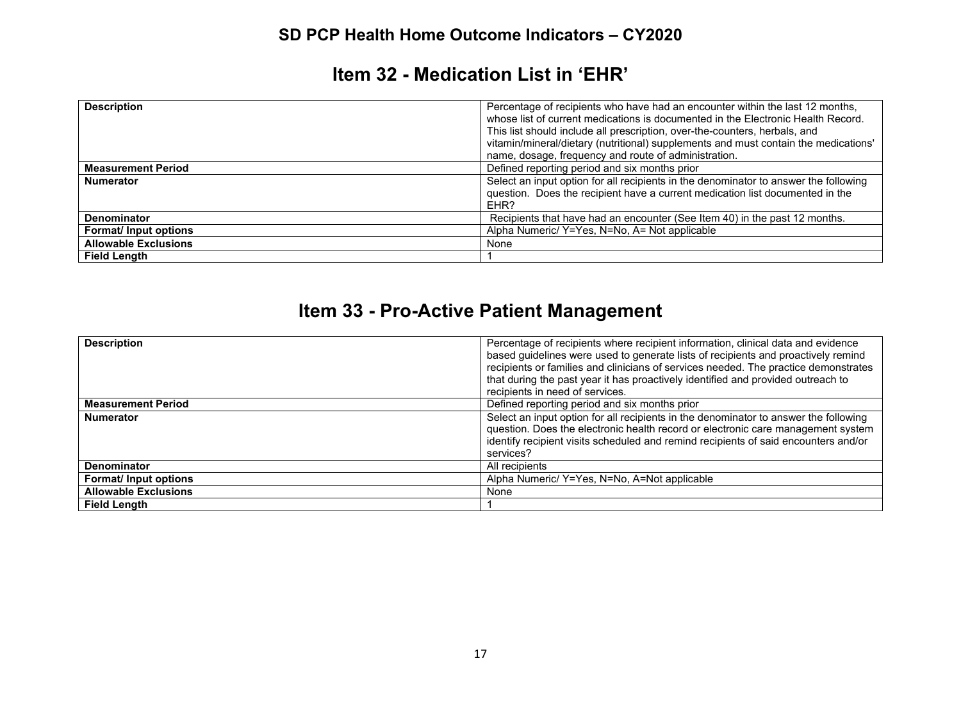### **Item 32 - Medication List in 'EHR'**

| <b>Description</b>          | Percentage of recipients who have had an encounter within the last 12 months,<br>whose list of current medications is documented in the Electronic Health Record.<br>This list should include all prescription, over-the-counters, herbals, and<br>vitamin/mineral/dietary (nutritional) supplements and must contain the medications'<br>name, dosage, frequency and route of administration. |
|-----------------------------|------------------------------------------------------------------------------------------------------------------------------------------------------------------------------------------------------------------------------------------------------------------------------------------------------------------------------------------------------------------------------------------------|
| <b>Measurement Period</b>   | Defined reporting period and six months prior                                                                                                                                                                                                                                                                                                                                                  |
| <b>Numerator</b>            | Select an input option for all recipients in the denominator to answer the following<br>question. Does the recipient have a current medication list documented in the<br>EHR?                                                                                                                                                                                                                  |
| <b>Denominator</b>          | Recipients that have had an encounter (See Item 40) in the past 12 months.                                                                                                                                                                                                                                                                                                                     |
| Format/ Input options       | Alpha Numeric/ Y=Yes, N=No, A= Not applicable                                                                                                                                                                                                                                                                                                                                                  |
| <b>Allowable Exclusions</b> | None                                                                                                                                                                                                                                                                                                                                                                                           |
| <b>Field Length</b>         |                                                                                                                                                                                                                                                                                                                                                                                                |

# **Item 33 - Pro-Active Patient Management**

| <b>Description</b>          | Percentage of recipients where recipient information, clinical data and evidence<br>based guidelines were used to generate lists of recipients and proactively remind<br>recipients or families and clinicians of services needed. The practice demonstrates<br>that during the past year it has proactively identified and provided outreach to<br>recipients in need of services. |
|-----------------------------|-------------------------------------------------------------------------------------------------------------------------------------------------------------------------------------------------------------------------------------------------------------------------------------------------------------------------------------------------------------------------------------|
| <b>Measurement Period</b>   | Defined reporting period and six months prior                                                                                                                                                                                                                                                                                                                                       |
| <b>Numerator</b>            | Select an input option for all recipients in the denominator to answer the following<br>question. Does the electronic health record or electronic care management system<br>identify recipient visits scheduled and remind recipients of said encounters and/or<br>services?                                                                                                        |
| <b>Denominator</b>          | All recipients                                                                                                                                                                                                                                                                                                                                                                      |
| <b>Format/Input options</b> | Alpha Numeric/ Y=Yes, N=No, A=Not applicable                                                                                                                                                                                                                                                                                                                                        |
| <b>Allowable Exclusions</b> | None                                                                                                                                                                                                                                                                                                                                                                                |
| <b>Field Lenath</b>         |                                                                                                                                                                                                                                                                                                                                                                                     |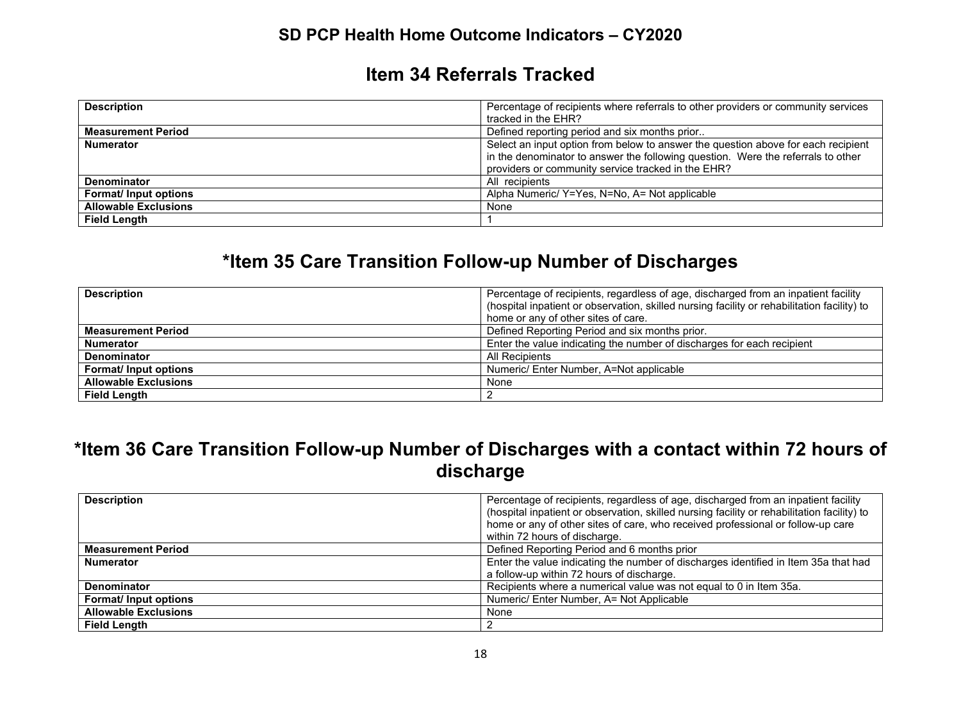#### **Item 34 Referrals Tracked**

| <b>Description</b>          | Percentage of recipients where referrals to other providers or community services |
|-----------------------------|-----------------------------------------------------------------------------------|
|                             | tracked in the EHR?                                                               |
| <b>Measurement Period</b>   | Defined reporting period and six months prior                                     |
| <b>Numerator</b>            | Select an input option from below to answer the question above for each recipient |
|                             | in the denominator to answer the following question. Were the referrals to other  |
|                             | providers or community service tracked in the EHR?                                |
| <b>Denominator</b>          | All recipients                                                                    |
| Format/ Input options       | Alpha Numeric/ Y=Yes, N=No, A= Not applicable                                     |
| <b>Allowable Exclusions</b> | None                                                                              |
| <b>Field Length</b>         |                                                                                   |

# **\*Item 35 Care Transition Follow-up Number of Discharges**

| <b>Description</b>          | Percentage of recipients, regardless of age, discharged from an inpatient facility<br>(hospital inpatient or observation, skilled nursing facility or rehabilitation facility) to<br>home or any of other sites of care. |
|-----------------------------|--------------------------------------------------------------------------------------------------------------------------------------------------------------------------------------------------------------------------|
| <b>Measurement Period</b>   | Defined Reporting Period and six months prior.                                                                                                                                                                           |
| <b>Numerator</b>            | Enter the value indicating the number of discharges for each recipient                                                                                                                                                   |
| <b>Denominator</b>          | All Recipients                                                                                                                                                                                                           |
| <b>Format/Input options</b> | Numeric/ Enter Number, A=Not applicable                                                                                                                                                                                  |
| <b>Allowable Exclusions</b> | None                                                                                                                                                                                                                     |
| <b>Field Length</b>         |                                                                                                                                                                                                                          |

## **\*Item 36 Care Transition Follow-up Number of Discharges with a contact within 72 hours of discharge**

| <b>Description</b>          | Percentage of recipients, regardless of age, discharged from an inpatient facility<br>(hospital inpatient or observation, skilled nursing facility or rehabilitation facility) to<br>home or any of other sites of care, who received professional or follow-up care |
|-----------------------------|----------------------------------------------------------------------------------------------------------------------------------------------------------------------------------------------------------------------------------------------------------------------|
|                             | within 72 hours of discharge.                                                                                                                                                                                                                                        |
| <b>Measurement Period</b>   | Defined Reporting Period and 6 months prior                                                                                                                                                                                                                          |
| <b>Numerator</b>            | Enter the value indicating the number of discharges identified in Item 35a that had                                                                                                                                                                                  |
|                             | a follow-up within 72 hours of discharge.                                                                                                                                                                                                                            |
| <b>Denominator</b>          | Recipients where a numerical value was not equal to 0 in Item 35a.                                                                                                                                                                                                   |
| <b>Format/Input options</b> | Numeric/ Enter Number, A= Not Applicable                                                                                                                                                                                                                             |
| <b>Allowable Exclusions</b> | None                                                                                                                                                                                                                                                                 |
| <b>Field Length</b>         |                                                                                                                                                                                                                                                                      |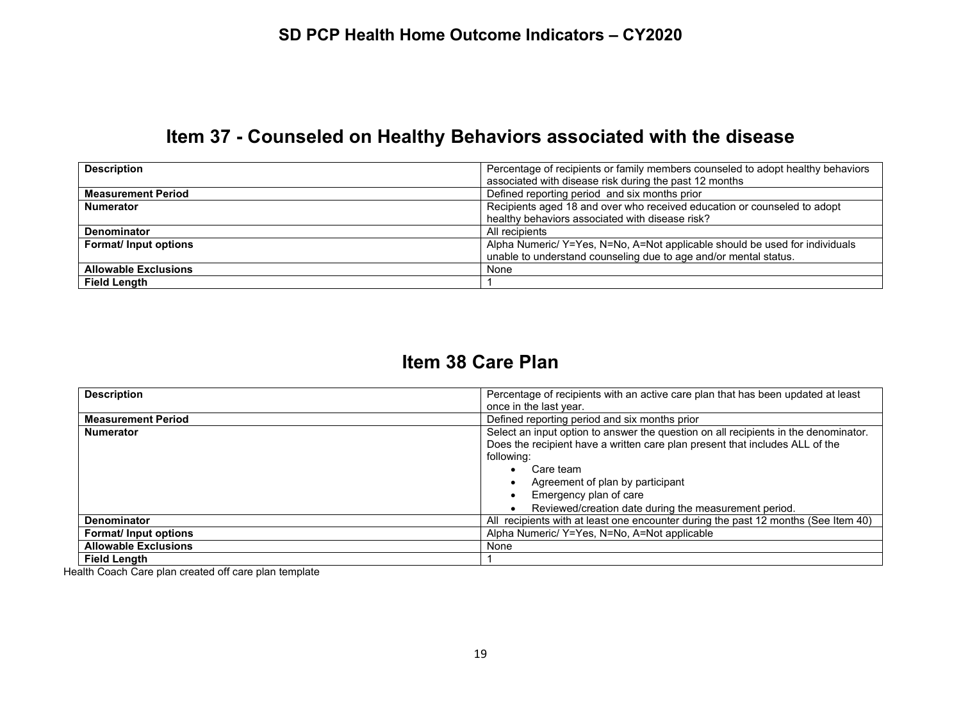# **Item 37 - Counseled on Healthy Behaviors associated with the disease**

| <b>Description</b>          | Percentage of recipients or family members counseled to adopt healthy behaviors |
|-----------------------------|---------------------------------------------------------------------------------|
|                             | associated with disease risk during the past 12 months                          |
| <b>Measurement Period</b>   | Defined reporting period and six months prior                                   |
| <b>Numerator</b>            | Recipients aged 18 and over who received education or counseled to adopt        |
|                             | healthy behaviors associated with disease risk?                                 |
| <b>Denominator</b>          | All recipients                                                                  |
| Format/ Input options       | Alpha Numeric/Y=Yes, N=No, A=Not applicable should be used for individuals      |
|                             | unable to understand counseling due to age and/or mental status.                |
| <b>Allowable Exclusions</b> | None                                                                            |
| <b>Field Length</b>         |                                                                                 |

### **Item 38 Care Plan**

| <b>Description</b>          | Percentage of recipients with an active care plan that has been updated at least    |
|-----------------------------|-------------------------------------------------------------------------------------|
|                             | once in the last year.                                                              |
| <b>Measurement Period</b>   | Defined reporting period and six months prior                                       |
| <b>Numerator</b>            | Select an input option to answer the question on all recipients in the denominator. |
|                             | Does the recipient have a written care plan present that includes ALL of the        |
|                             | following:                                                                          |
|                             | Care team<br>$\bullet$                                                              |
|                             | Agreement of plan by participant<br>٠                                               |
|                             | Emergency plan of care                                                              |
|                             | Reviewed/creation date during the measurement period.                               |
| <b>Denominator</b>          | All recipients with at least one encounter during the past 12 months (See Item 40)  |
| <b>Format/Input options</b> | Alpha Numeric/ Y=Yes, N=No, A=Not applicable                                        |
| <b>Allowable Exclusions</b> | None                                                                                |
| <b>Field Lenath</b>         |                                                                                     |

Health Coach Care plan created off care plan template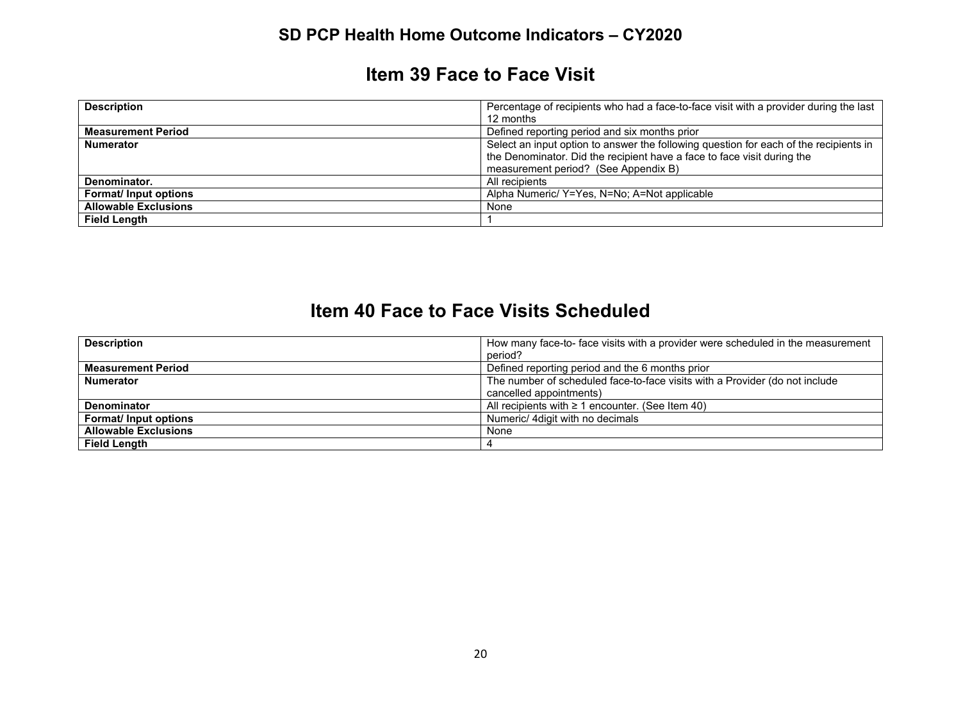#### **Item 39 Face to Face Visit**

| <b>Description</b>          | Percentage of recipients who had a face-to-face visit with a provider during the last |
|-----------------------------|---------------------------------------------------------------------------------------|
|                             | 12 months                                                                             |
| <b>Measurement Period</b>   | Defined reporting period and six months prior                                         |
| <b>Numerator</b>            | Select an input option to answer the following question for each of the recipients in |
|                             | the Denominator. Did the recipient have a face to face visit during the               |
|                             | measurement period? (See Appendix B)                                                  |
| Denominator.                | All recipients                                                                        |
| <b>Format/Input options</b> | Alpha Numeric/ Y=Yes, N=No; A=Not applicable                                          |
| <b>Allowable Exclusions</b> | None                                                                                  |
| <b>Field Length</b>         |                                                                                       |

### **Item 40 Face to Face Visits Scheduled**

| <b>Description</b>          | How many face-to- face visits with a provider were scheduled in the measurement |
|-----------------------------|---------------------------------------------------------------------------------|
|                             | period?                                                                         |
| <b>Measurement Period</b>   | Defined reporting period and the 6 months prior                                 |
| <b>Numerator</b>            | The number of scheduled face-to-face visits with a Provider (do not include     |
|                             | cancelled appointments)                                                         |
| <b>Denominator</b>          | All recipients with $\geq 1$ encounter. (See Item 40)                           |
| <b>Format/Input options</b> | Numeric/ 4 digit with no decimals                                               |
| <b>Allowable Exclusions</b> | None                                                                            |
| <b>Field Lenath</b>         |                                                                                 |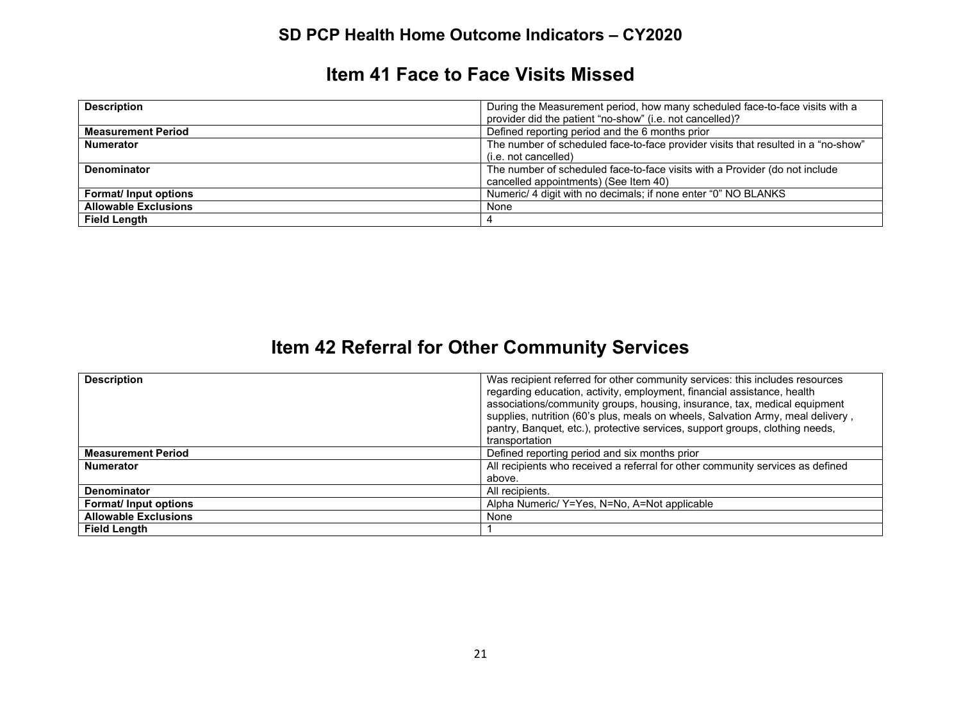#### **Item 41 Face to Face Visits Missed**

| <b>Description</b>          | During the Measurement period, how many scheduled face-to-face visits with a      |
|-----------------------------|-----------------------------------------------------------------------------------|
|                             | provider did the patient "no-show" (i.e. not cancelled)?                          |
| <b>Measurement Period</b>   | Defined reporting period and the 6 months prior                                   |
| <b>Numerator</b>            | The number of scheduled face-to-face provider visits that resulted in a "no-show" |
|                             | (i.e. not cancelled)                                                              |
| <b>Denominator</b>          | The number of scheduled face-to-face visits with a Provider (do not include       |
|                             | cancelled appointments) (See Item 40)                                             |
| <b>Format/Input options</b> | Numeric/ 4 digit with no decimals; if none enter "0" NO BLANKS                    |
| <b>Allowable Exclusions</b> | None                                                                              |
| <b>Field Length</b>         | 4                                                                                 |

# **Item 42 Referral for Other Community Services**

| <b>Description</b>          | Was recipient referred for other community services: this includes resources    |
|-----------------------------|---------------------------------------------------------------------------------|
|                             | regarding education, activity, employment, financial assistance, health         |
|                             | associations/community groups, housing, insurance, tax, medical equipment       |
|                             | supplies, nutrition (60's plus, meals on wheels, Salvation Army, meal delivery, |
|                             | pantry, Banquet, etc.), protective services, support groups, clothing needs,    |
|                             | transportation                                                                  |
| <b>Measurement Period</b>   | Defined reporting period and six months prior                                   |
| <b>Numerator</b>            | All recipients who received a referral for other community services as defined  |
|                             | above.                                                                          |
| <b>Denominator</b>          | All recipients.                                                                 |
| Format/ Input options       | Alpha Numeric/ Y=Yes, N=No, A=Not applicable                                    |
| <b>Allowable Exclusions</b> | None                                                                            |
| <b>Field Length</b>         |                                                                                 |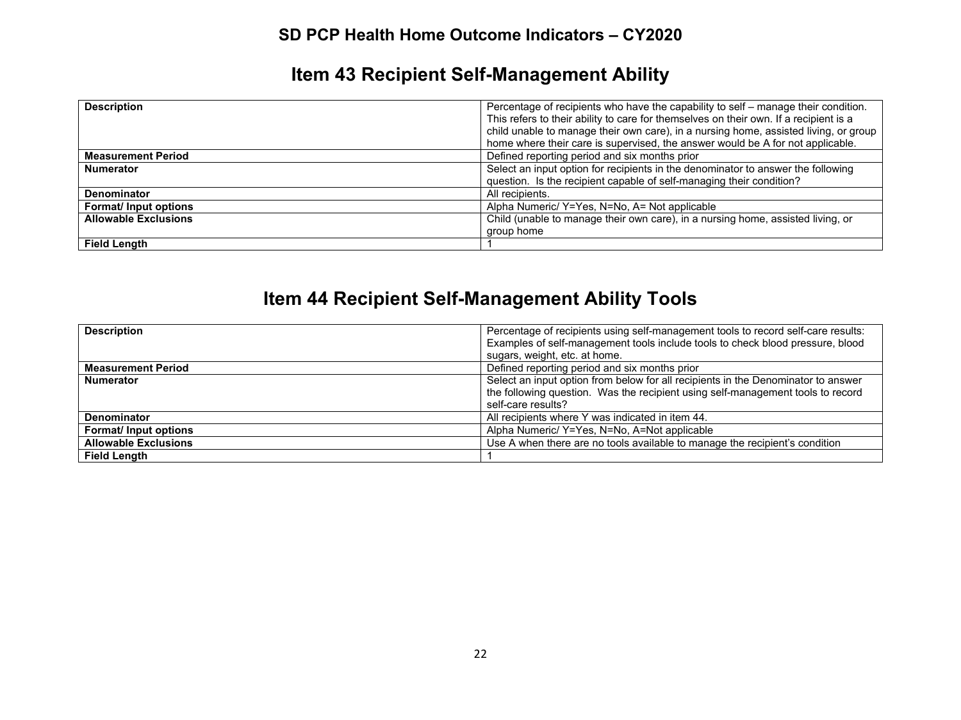# **Item 43 Recipient Self-Management Ability**

| <b>Description</b>          | Percentage of recipients who have the capability to self – manage their condition.<br>This refers to their ability to care for themselves on their own. If a recipient is a<br>child unable to manage their own care), in a nursing home, assisted living, or group |
|-----------------------------|---------------------------------------------------------------------------------------------------------------------------------------------------------------------------------------------------------------------------------------------------------------------|
|                             | home where their care is supervised, the answer would be A for not applicable.                                                                                                                                                                                      |
| <b>Measurement Period</b>   | Defined reporting period and six months prior                                                                                                                                                                                                                       |
| <b>Numerator</b>            | Select an input option for recipients in the denominator to answer the following                                                                                                                                                                                    |
|                             | question. Is the recipient capable of self-managing their condition?                                                                                                                                                                                                |
| <b>Denominator</b>          | All recipients.                                                                                                                                                                                                                                                     |
| <b>Format/Input options</b> | Alpha Numeric/ Y=Yes, N=No, A= Not applicable                                                                                                                                                                                                                       |
| <b>Allowable Exclusions</b> | Child (unable to manage their own care), in a nursing home, assisted living, or                                                                                                                                                                                     |
|                             | group home                                                                                                                                                                                                                                                          |
| <b>Field Length</b>         |                                                                                                                                                                                                                                                                     |

# **Item 44 Recipient Self-Management Ability Tools**

| <b>Description</b>          | Percentage of recipients using self-management tools to record self-care results:<br>Examples of self-management tools include tools to check blood pressure, blood<br>sugars, weight, etc. at home. |
|-----------------------------|------------------------------------------------------------------------------------------------------------------------------------------------------------------------------------------------------|
| <b>Measurement Period</b>   | Defined reporting period and six months prior                                                                                                                                                        |
| <b>Numerator</b>            | Select an input option from below for all recipients in the Denominator to answer<br>the following question. Was the recipient using self-management tools to record<br>self-care results?           |
| Denominator                 | All recipients where Y was indicated in item 44.                                                                                                                                                     |
| Format/ Input options       | Alpha Numeric/ Y=Yes, N=No, A=Not applicable                                                                                                                                                         |
| <b>Allowable Exclusions</b> | Use A when there are no tools available to manage the recipient's condition                                                                                                                          |
| <b>Field Length</b>         |                                                                                                                                                                                                      |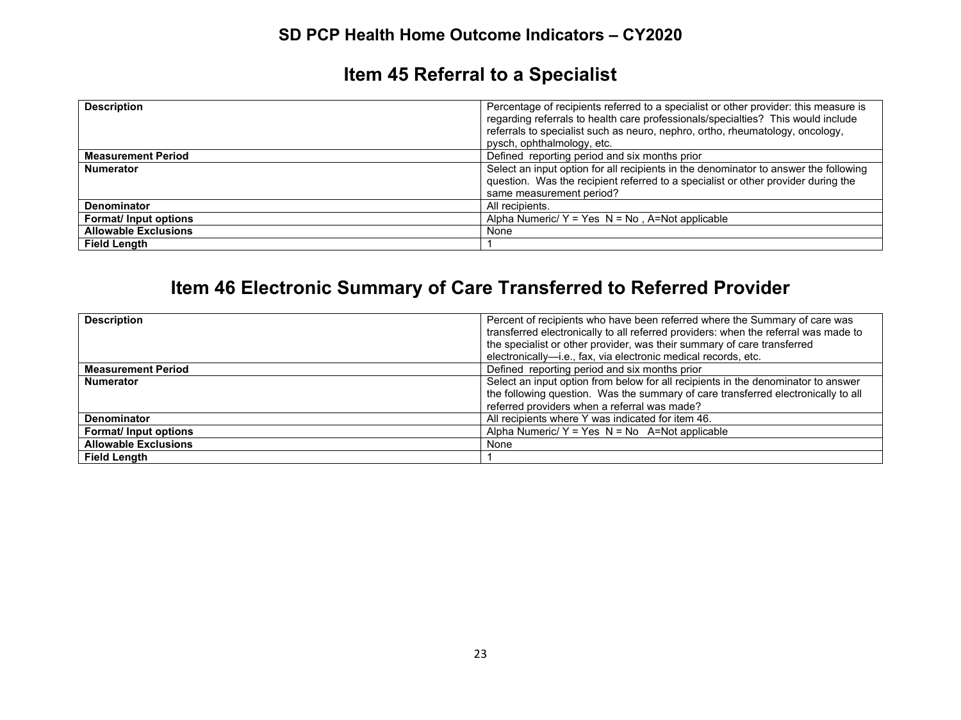# **Item 45 Referral to a Specialist**

| <b>Description</b>          | Percentage of recipients referred to a specialist or other provider: this measure is<br>regarding referrals to health care professionals/specialties? This would include<br>referrals to specialist such as neuro, nephro, ortho, rheumatology, oncology,<br>pysch, ophthalmology, etc. |
|-----------------------------|-----------------------------------------------------------------------------------------------------------------------------------------------------------------------------------------------------------------------------------------------------------------------------------------|
| <b>Measurement Period</b>   | Defined reporting period and six months prior                                                                                                                                                                                                                                           |
| <b>Numerator</b>            | Select an input option for all recipients in the denominator to answer the following                                                                                                                                                                                                    |
|                             | question. Was the recipient referred to a specialist or other provider during the                                                                                                                                                                                                       |
|                             | same measurement period?                                                                                                                                                                                                                                                                |
| <b>Denominator</b>          | All recipients.                                                                                                                                                                                                                                                                         |
| <b>Format/Input options</b> | Alpha Numeric/ $Y = Yes$ N = No, A=Not applicable                                                                                                                                                                                                                                       |
| <b>Allowable Exclusions</b> | None                                                                                                                                                                                                                                                                                    |
| <b>Field Length</b>         |                                                                                                                                                                                                                                                                                         |

# **Item 46 Electronic Summary of Care Transferred to Referred Provider**

| <b>Description</b>          | Percent of recipients who have been referred where the Summary of care was          |
|-----------------------------|-------------------------------------------------------------------------------------|
|                             | transferred electronically to all referred providers: when the referral was made to |
|                             | the specialist or other provider, was their summary of care transferred             |
|                             | electronically-i.e., fax, via electronic medical records, etc.                      |
| <b>Measurement Period</b>   | Defined reporting period and six months prior                                       |
| <b>Numerator</b>            | Select an input option from below for all recipients in the denominator to answer   |
|                             | the following question. Was the summary of care transferred electronically to all   |
|                             | referred providers when a referral was made?                                        |
| <b>Denominator</b>          | All recipients where Y was indicated for item 46.                                   |
| Format/ Input options       | Alpha Numeric/ $Y = Yes$ N = No A=Not applicable                                    |
| <b>Allowable Exclusions</b> | None                                                                                |
| <b>Field Length</b>         |                                                                                     |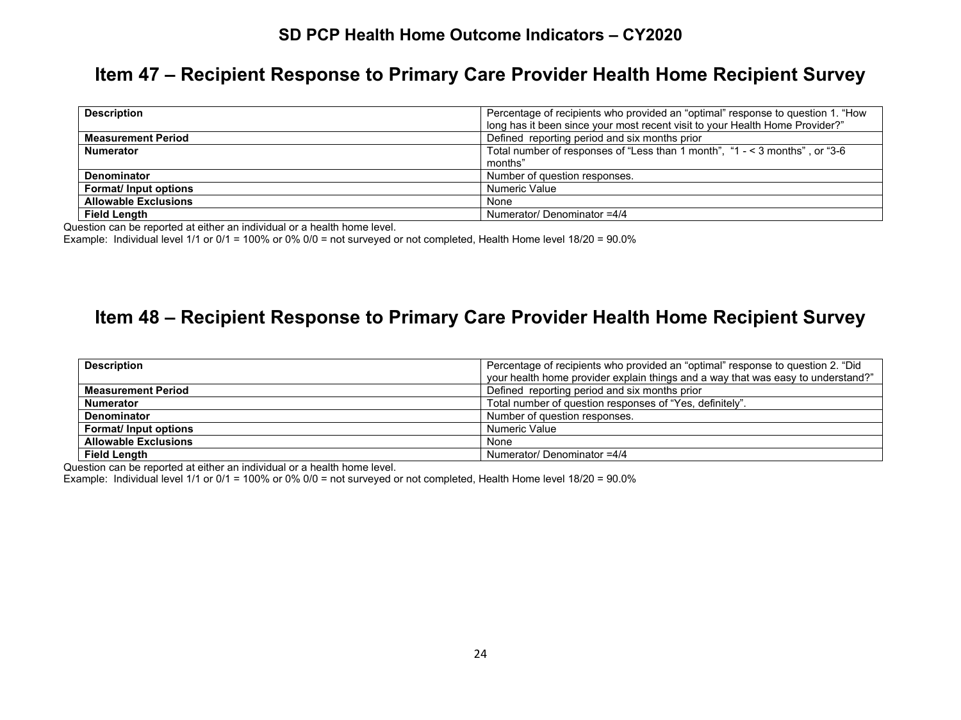#### **Item 47 – Recipient Response to Primary Care Provider Health Home Recipient Survey**

| <b>Description</b>          | Percentage of recipients who provided an "optimal" response to question 1. "How |
|-----------------------------|---------------------------------------------------------------------------------|
|                             | long has it been since your most recent visit to your Health Home Provider?"    |
| <b>Measurement Period</b>   | Defined reporting period and six months prior                                   |
| <b>Numerator</b>            | Total number of responses of "Less than 1 month", $4 - 3$ months", or "3-6      |
|                             | months"                                                                         |
| Denominator                 | Number of question responses.                                                   |
| Format/ Input options       | Numeric Value                                                                   |
| <b>Allowable Exclusions</b> | None                                                                            |
| <b>Field Length</b>         | Numerator/ Denominator =4/4                                                     |

Question can be reported at either an individual or a health home level.

Example: Individual level 1/1 or 0/1 = 100% or 0% 0/0 = not surveyed or not completed, Health Home level 18/20 = 90.0%

### **Item 48 – Recipient Response to Primary Care Provider Health Home Recipient Survey**

| <b>Description</b>          | Percentage of recipients who provided an "optimal" response to question 2. "Did  |
|-----------------------------|----------------------------------------------------------------------------------|
|                             | your health home provider explain things and a way that was easy to understand?" |
| <b>Measurement Period</b>   | Defined reporting period and six months prior                                    |
| <b>Numerator</b>            | Total number of question responses of "Yes, definitely".                         |
| <b>Denominator</b>          | Number of question responses.                                                    |
| Format/ Input options       | Numeric Value                                                                    |
| <b>Allowable Exclusions</b> | None                                                                             |
| <b>Field Length</b>         | Numerator/ Denominator =4/4                                                      |

Question can be reported at either an individual or a health home level.

Example: Individual level 1/1 or 0/1 = 100% or 0% 0/0 = not surveyed or not completed, Health Home level 18/20 = 90.0%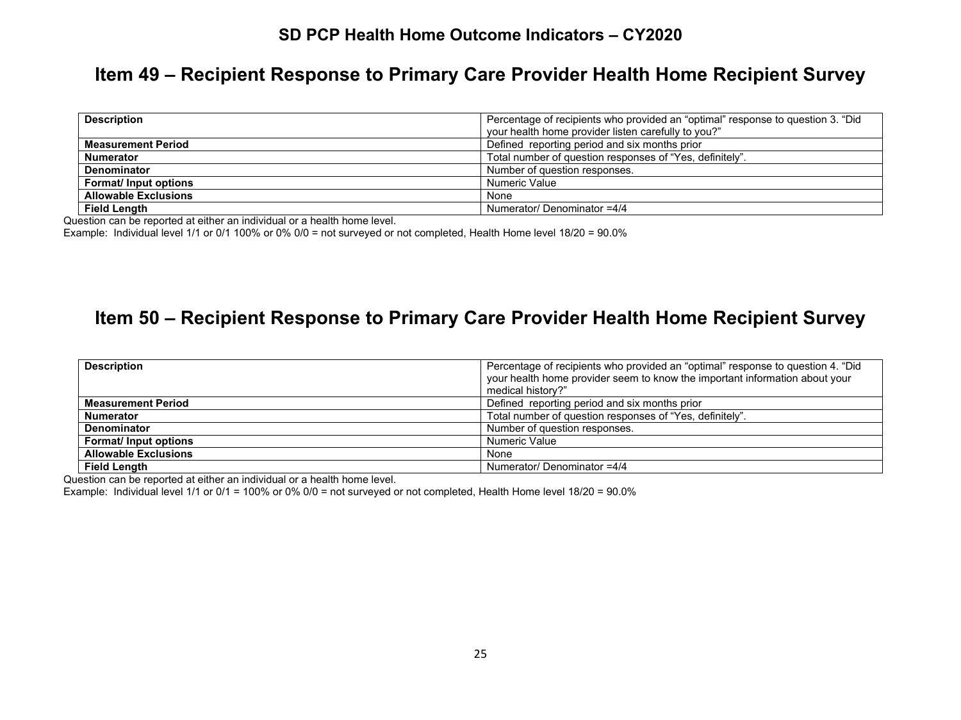#### **Item 49 – Recipient Response to Primary Care Provider Health Home Recipient Survey**

| <b>Description</b>          | Percentage of recipients who provided an "optimal" response to question 3. "Did<br>your health home provider listen carefully to you?" |
|-----------------------------|----------------------------------------------------------------------------------------------------------------------------------------|
| <b>Measurement Period</b>   | Defined reporting period and six months prior                                                                                          |
| <b>Numerator</b>            | Total number of question responses of "Yes, definitely".                                                                               |
| Denominator                 | Number of question responses.                                                                                                          |
| <b>Format/Input options</b> | Numeric Value                                                                                                                          |
| <b>Allowable Exclusions</b> | None                                                                                                                                   |
| <b>Field Length</b>         | Numerator/ Denominator =4/4                                                                                                            |

Question can be reported at either an individual or a health home level.

Example: Individual level 1/1 or 0/1 100% or 0% 0/0 = not surveyed or not completed, Health Home level 18/20 = 90.0%

#### **Item 50 – Recipient Response to Primary Care Provider Health Home Recipient Survey**

| <b>Description</b>          | Percentage of recipients who provided an "optimal" response to question 4. "Did<br>your health home provider seem to know the important information about your<br>medical history?" |
|-----------------------------|-------------------------------------------------------------------------------------------------------------------------------------------------------------------------------------|
| <b>Measurement Period</b>   | Defined reporting period and six months prior                                                                                                                                       |
| <b>Numerator</b>            | Total number of question responses of "Yes, definitely".                                                                                                                            |
| <b>Denominator</b>          | Number of question responses.                                                                                                                                                       |
| <b>Format/Input options</b> | Numeric Value                                                                                                                                                                       |
| <b>Allowable Exclusions</b> | None                                                                                                                                                                                |
| <b>Field Lenath</b>         | Numerator/ Denominator =4/4                                                                                                                                                         |

Question can be reported at either an individual or a health home level.

Example: Individual level 1/1 or 0/1 = 100% or 0% 0/0 = not surveyed or not completed, Health Home level 18/20 = 90.0%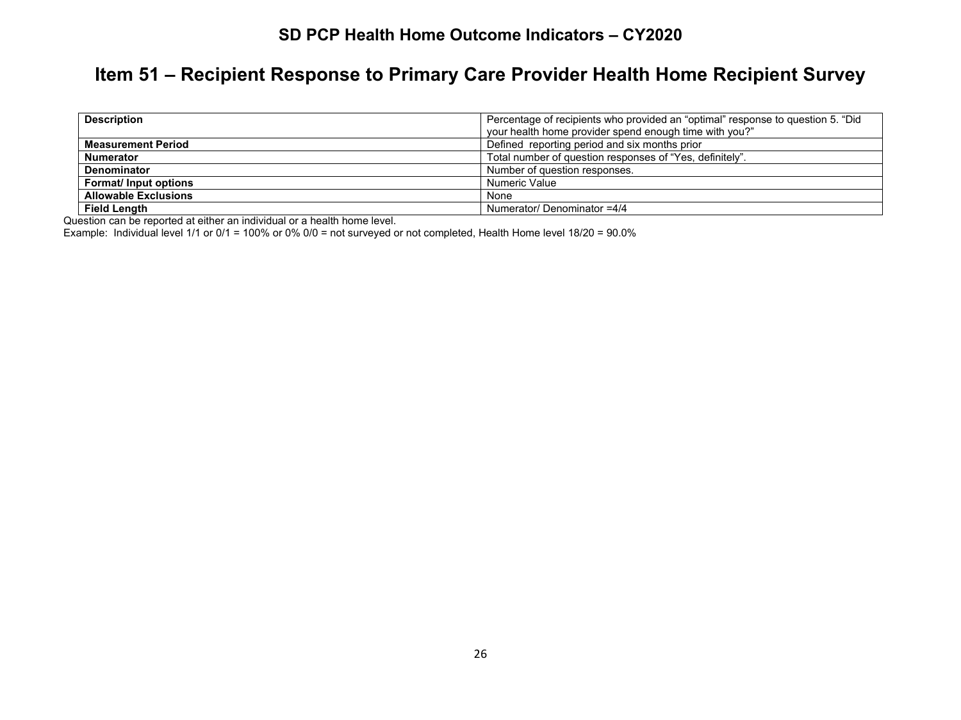# **Item 51 – Recipient Response to Primary Care Provider Health Home Recipient Survey**

| <b>Description</b>          | Percentage of recipients who provided an "optimal" response to question 5. "Did |
|-----------------------------|---------------------------------------------------------------------------------|
|                             | your health home provider spend enough time with you?"                          |
| <b>Measurement Period</b>   | Defined reporting period and six months prior                                   |
| <b>Numerator</b>            | Total number of question responses of "Yes, definitely".                        |
| <b>Denominator</b>          | Number of question responses.                                                   |
| <b>Format/Input options</b> | Numeric Value                                                                   |
| <b>Allowable Exclusions</b> | None                                                                            |
| <b>Field Length</b>         | Numerator/ Denominator =4/4                                                     |

Question can be reported at either an individual or a health home level.

Example: Individual level 1/1 or 0/1 = 100% or 0% 0/0 = not surveyed or not completed, Health Home level 18/20 = 90.0%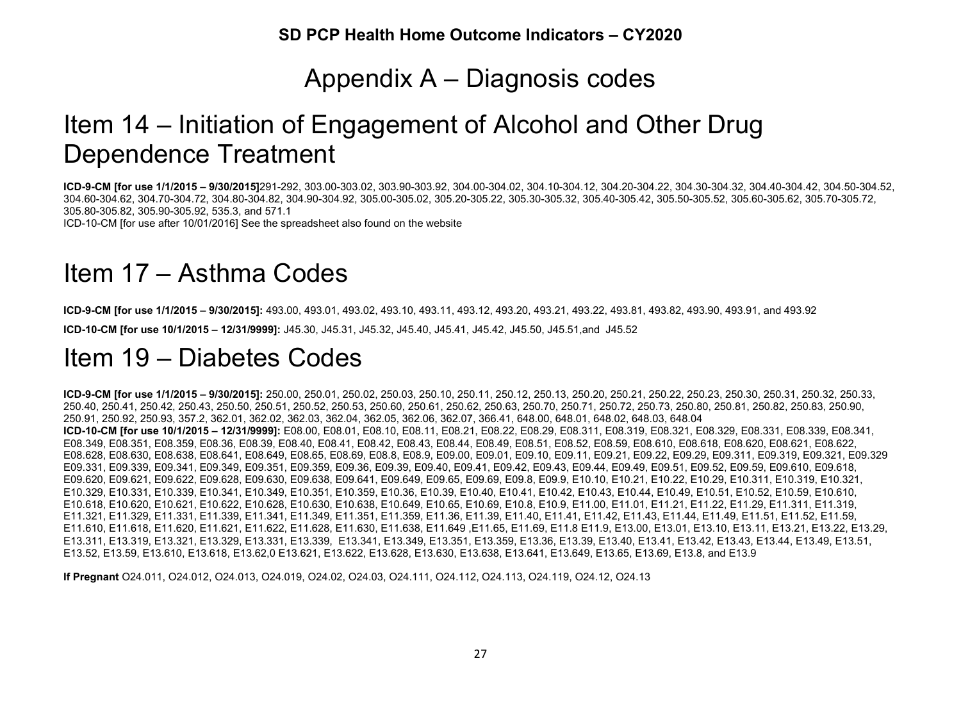# Appendix A – Diagnosis codes

# Item 14 – Initiation of Engagement of Alcohol and Other Drug Dependence Treatment

**ICD-9-CM [for use 1/1/2015 – 9/30/2015]**291-292, 303.00-303.02, 303.90-303.92, 304.00-304.02, 304.10-304.12, 304.20-304.22, 304.30-304.32, 304.40-304.42, 304.50-304.52, 304.60-304.62, 304.70-304.72, 304.80-304.82, 304.90-304.92, 305.00-305.02, 305.20-305.22, 305.30-305.32, 305.40-305.42, 305.50-305.52, 305.60-305.62, 305.70-305.72, 305.80-305.82, 305.90-305.92, 535.3, and 571.1

ICD-10-CM [for use after 10/01/2016] See the spreadsheet also found on the website

# Item 17 – Asthma Codes

**ICD-9-CM [for use 1/1/2015 – 9/30/2015]:** 493.00, 493.01, 493.02, 493.10, 493.11, 493.12, 493.20, 493.21, 493.22, 493.81, 493.82, 493.90, 493.91, and 493.92 **ICD-10-CM [for use 10/1/2015 – 12/31/9999]:** J45.30, J45.31, J45.32, J45.40, J45.41, J45.42, J45.50, J45.51,and J45.52

# Item 19 – Diabetes Codes

**ICD-9-CM [for use 1/1/2015 – 9/30/2015]:** 250.00, 250.01, 250.02, 250.03, 250.10, 250.11, 250.12, 250.13, 250.20, 250.21, 250.22, 250.23, 250.30, 250.31, 250.32, 250.33, 250.40, 250.41, 250.42, 250.43, 250.50, 250.51, 250.52, 250.53, 250.60, 250.61, 250.62, 250.63, 250.70, 250.71, 250.72, 250.73, 250.80, 250.81, 250.82, 250.83, 250.90, 250.91, 250.92, 250.93, 357.2, 362.01, 362.02, 362.03, 362.04, 362.05, 362.06, 362.07, 366.41, 648.00, 648.01, 648.02, 648.03, 648.04 **ICD-10-CM [for use 10/1/2015 – 12/31/9999]:** E08.00, E08.01, E08.10, E08.11, E08.21, E08.22, E08.29, E08.311, E08.319, E08.321, E08.329, E08.331, E08.339, E08.341, E08.349, E08.351, E08.359, E08.36, E08.39, E08.40, E08.41, E08.42, E08.43, E08.44, E08.49, E08.51, E08.52, E08.59, E08.610, E08.618, E08.620, E08.621, E08.622, E08.628, E08.630, E08.638, E08.641, E08.649, E08.65, E08.69, E08.8, E08.9, E09.00, E09.01, E09.10, E09.11, E09.21, E09.22, E09.29, E09.311, E09.319, E09.321, E09.329 E09.331, E09.339, E09.341, E09.349, E09.351, E09.359, E09.36, E09.39, E09.40, E09.41, E09.42, E09.43, E09.44, E09.49, E09.51, E09.52, E09.59, E09.610, E09.618, E09.620, E09.621, E09.622, E09.628, E09.630, E09.638, E09.641, E09.649, E09.65, E09.69, E09.8, E09.9, E10.10, E10.21, E10.22, E10.29, E10.311, E10.319, E10.321, E10.329, E10.331, E10.339, E10.341, E10.349, E10.351, E10.359, E10.36, E10.39, E10.40, E10.41, E10.42, E10.43, E10.44, E10.49, E10.51, E10.52, E10.59, E10.610, E10.618, E10.620, E10.621, E10.622, E10.628, E10.630, E10.638, E10.649, E10.65, E10.69, E10.8, E10.9, E11.00, E11.01, E11.21, E11.22, E11.29, E11.311, E11.319, E11.321, E11.329, E11.331, E11.339, E11.341, E11.349, E11.351, E11.359, E11.36, E11.39, E11.40, E11.41, E11.42, E11.43, E11.44, E11.49, E11.51, E11.52, E11.59, E11.610, E11.618, E11.620, E11.621, E11.622, E11.628, E11.630, E11.638, E11.649 ,E11.65, E11.69, E11.8 E11.9, E13.00, E13.01, E13.10, E13.11, E13.21, E13.22, E13.29, E13.311, E13.319, E13.321, E13.329, E13.331, E13.339, E13.341, E13.349, E13.351, E13.359, E13.36, E13.39, E13.40, E13.41, E13.42, E13.43, E13.44, E13.49, E13.51, E13.52, E13.59, E13.610, E13.618, E13.62,0 E13.621, E13.622, E13.628, E13.630, E13.638, E13.641, E13.649, E13.65, E13.69, E13.8, and E13.9

**If Pregnant** O24.011, O24.012, O24.013, O24.019, O24.02, O24.03, O24.111, O24.112, O24.113, O24.119, O24.12, O24.13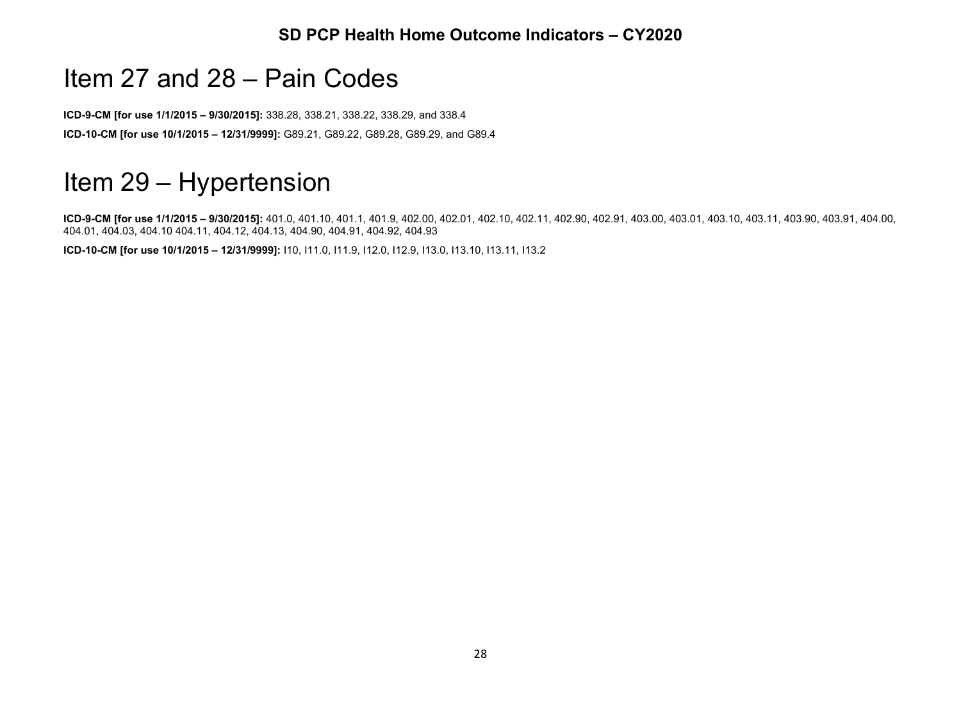# Item 27 and 28 – Pain Codes

**ICD-9-CM [for use 1/1/2015 – 9/30/2015]:** 338.28, 338.21, 338.22, 338.29, and 338.4 **ICD-10-CM [for use 10/1/2015 – 12/31/9999]:** G89.21, G89.22, G89.28, G89.29, and G89.4

# Item 29 – Hypertension

**ICD-9-CM [for use 1/1/2015 – 9/30/2015]:** 401.0, 401.10, 401.1, 401.9, 402.00, 402.01, 402.10, 402.11, 402.90, 402.91, 403.00, 403.01, 403.10, 403.11, 403.90, 403.91, 404.00, 404.01, 404.03, 404.10 404.11, 404.12, 404.13, 404.90, 404.91, 404.92, 404.93

**ICD-10-CM [for use 10/1/2015 – 12/31/9999]:** I10, I11.0, I11.9, I12.0, I12.9, I13.0, I13.10, I13.11, I13.2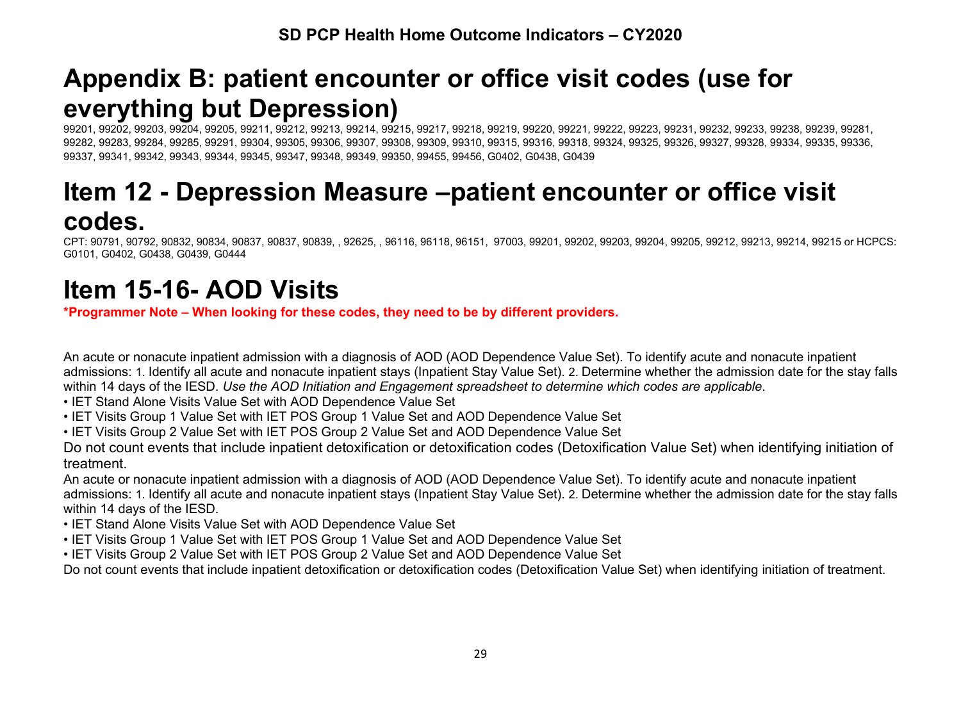# **Appendix B: patient encounter or office visit codes (use for everything but Depression)**

99201, 99202, 99203, 99204, 99205, 99211, 99212, 99213, 99214, 99215, 99217, 99218, 99219, 99220, 99221, 99222, 99223, 99231, 99232, 99233, 99238, 99239, 99281, 99282, 99283, 99284, 99285, 99291, 99304, 99305, 99306, 99307, 99308, 99309, 99310, 99315, 99316, 99318, 99324, 99325, 99326, 99327, 99328, 99334, 99335, 99336, 99337, 99341, 99342, 99343, 99344, 99345, 99347, 99348, 99349, 99350, 99455, 99456, G0402, G0438, G0439

# **Item 12 - Depression Measure –patient encounter or office visit codes.**

CPT: 90791, 90792, 90832, 90834, 90837, 90837, 90839, , 92625, , 96116, 96118, 96151, 97003, 99201, 99202, 99203, 99204, 99205, 99212, 99213, 99214, 99215 or HCPCS: G0101, G0402, G0438, G0439, G0444

# **Item 15-16- AOD Visits**

**\*Programmer Note – When looking for these codes, they need to be by different providers.**

An acute or nonacute inpatient admission with a diagnosis of AOD (AOD Dependence Value Set). To identify acute and nonacute inpatient admissions: 1. Identify all acute and nonacute inpatient stays (Inpatient Stay Value Set). 2. Determine whether the admission date for the stay falls within 14 days of the IESD. *Use the AOD Initiation and Engagement spreadsheet to determine which codes are applicable*.

- IET Stand Alone Visits Value Set with AOD Dependence Value Set
- IET Visits Group 1 Value Set with IET POS Group 1 Value Set and AOD Dependence Value Set
- IET Visits Group 2 Value Set with IET POS Group 2 Value Set and AOD Dependence Value Set

Do not count events that include inpatient detoxification or detoxification codes (Detoxification Value Set) when identifying initiation of treatment.

An acute or nonacute inpatient admission with a diagnosis of AOD (AOD Dependence Value Set). To identify acute and nonacute inpatient admissions: 1. Identify all acute and nonacute inpatient stays (Inpatient Stay Value Set). 2. Determine whether the admission date for the stay falls within 14 days of the IESD.

- IET Stand Alone Visits Value Set with AOD Dependence Value Set
- IET Visits Group 1 Value Set with IET POS Group 1 Value Set and AOD Dependence Value Set
- IET Visits Group 2 Value Set with IET POS Group 2 Value Set and AOD Dependence Value Set

Do not count events that include inpatient detoxification or detoxification codes (Detoxification Value Set) when identifying initiation of treatment.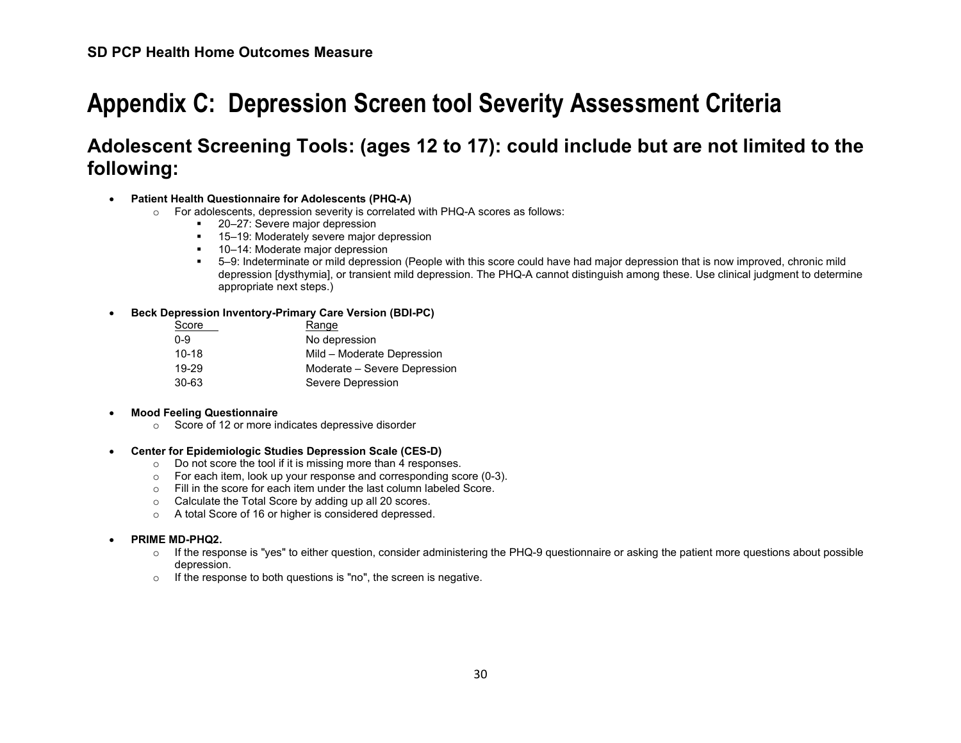# **Appendix C: Depression Screen tool Severity Assessment Criteria**

# **Adolescent Screening Tools: (ages 12 to 17): could include but are not limited to the following:**

#### • **Patient Health Questionnaire for Adolescents (PHQ-A)**

- o For adolescents, depression severity is correlated with PHQ-A scores as follows:
	- 20–27: Severe major depression
	- 15–19: Moderately severe major depression
	- 10–14: Moderate major depression
	- 5–9: Indeterminate or mild depression (People with this score could have had major depression that is now improved, chronic mild depression [dysthymia], or transient mild depression. The PHQ-A cannot distinguish among these. Use clinical judgment to determine appropriate next steps.)

#### • **Beck Depression Inventory-Primary Care Version (BDI-PC)**

| Score     | Range                        |
|-----------|------------------------------|
| 0-9       | No depression                |
| $10 - 18$ | Mild – Moderate Depression   |
| 19-29     | Moderate – Severe Depression |
| 30-63     | Severe Depression            |

#### • **Mood Feeling Questionnaire**

o Score of 12 or more indicates depressive disorder

#### • **Center for Epidemiologic Studies Depression Scale (CES-D)**

- o Do not score the tool if it is missing more than 4 responses.
- o For each item, look up your response and corresponding score (0-3).
- o Fill in the score for each item under the last column labeled Score.
- o Calculate the Total Score by adding up all 20 scores.
- o A total Score of 16 or higher is considered depressed.

#### • **PRIME MD-PHQ2.**

- $\circ$  If the response is "yes" to either question, consider administering the PHQ-9 questionnaire or asking the patient more questions about possible depression.
- o If the response to both questions is "no", the screen is negative.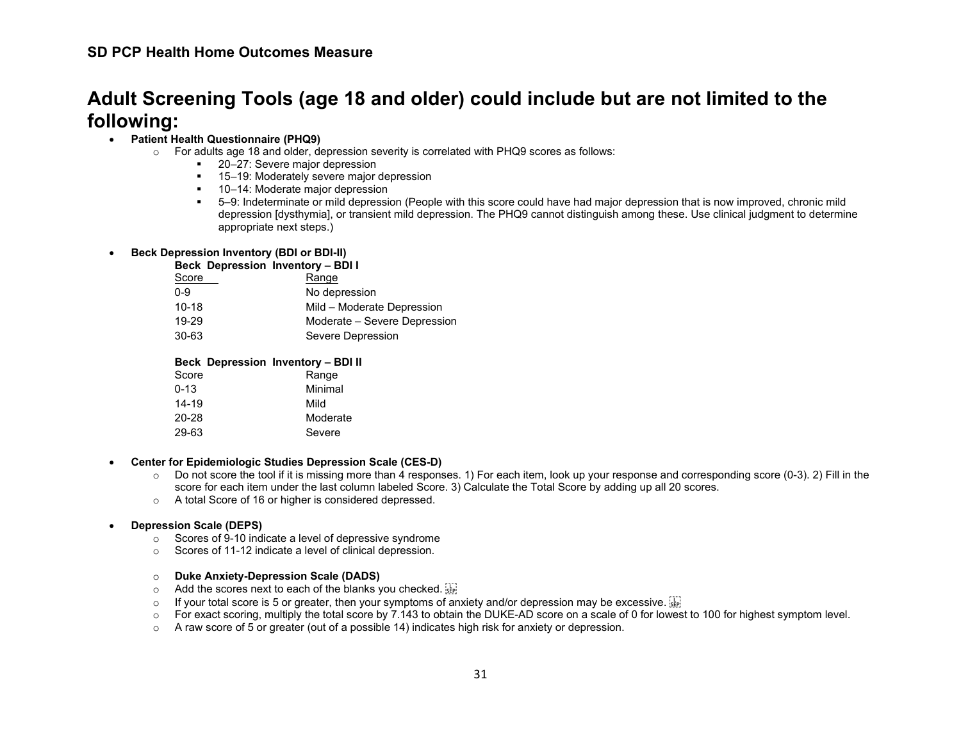## **Adult Screening Tools (age 18 and older) could include but are not limited to the following:**

#### • **Patient Health Questionnaire (PHQ9)**

- $\circ$  For adults age 18 and older, depression severity is correlated with PHQ9 scores as follows:
	- 20–27: Severe major depression
	- 15–19: Moderately severe major depression
	- 10–14: Moderate major depression
	- 5–9: Indeterminate or mild depression (People with this score could have had major depression that is now improved, chronic mild depression [dysthymia], or transient mild depression. The PHQ9 cannot distinguish among these. Use clinical judgment to determine appropriate next steps.)

#### • **Beck Depression Inventory (BDI or BDI-II)**

#### **Beck Depression Inventory – BDI I**

| Score   | Range                        |
|---------|------------------------------|
| $0 - 9$ | No depression                |
| $10-18$ | Mild - Moderate Depression   |
| 19-29   | Moderate – Severe Depression |
| 30-63   | Severe Depression            |
|         |                              |

#### **Beck Depression Inventory – BDI II**

| Score     | Range    |
|-----------|----------|
| 0-13      | Minimal  |
| $14 - 19$ | Mild     |
| 20-28     | Moderate |
| 29-63     | Severe   |

#### • **Center for Epidemiologic Studies Depression Scale (CES-D)**

- $\circ$  Do not score the tool if it is missing more than 4 responses. 1) For each item, look up your response and corresponding score (0-3). 2) Fill in the score for each item under the last column labeled Score. 3) Calculate the Total Score by adding up all 20 scores.
- o A total Score of 16 or higher is considered depressed.

#### • **Depression Scale (DEPS)**

- o Scores of 9-10 indicate a level of depressive syndrome
- o Scores of 11-12 indicate a level of clinical depression.

#### o **Duke Anxiety-Depression Scale (DADS)**

- $\circ$  Add the scores next to each of the blanks you checked.
- $\circ$  If your total score is 5 or greater, then your symptoms of anxiety and/or depression may be excessive.  $\frac{17}{200}$ <br> $\circ$  For exact scoring, multiply the total score by 7.143 to obtain the DUKE-AD score on a scale of
- For exact scoring, multiply the total score by 7.143 to obtain the DUKE-AD score on a scale of 0 for lowest to 100 for highest symptom level.
- $\circ$  A raw score of 5 or greater (out of a possible 14) indicates high risk for anxiety or depression.